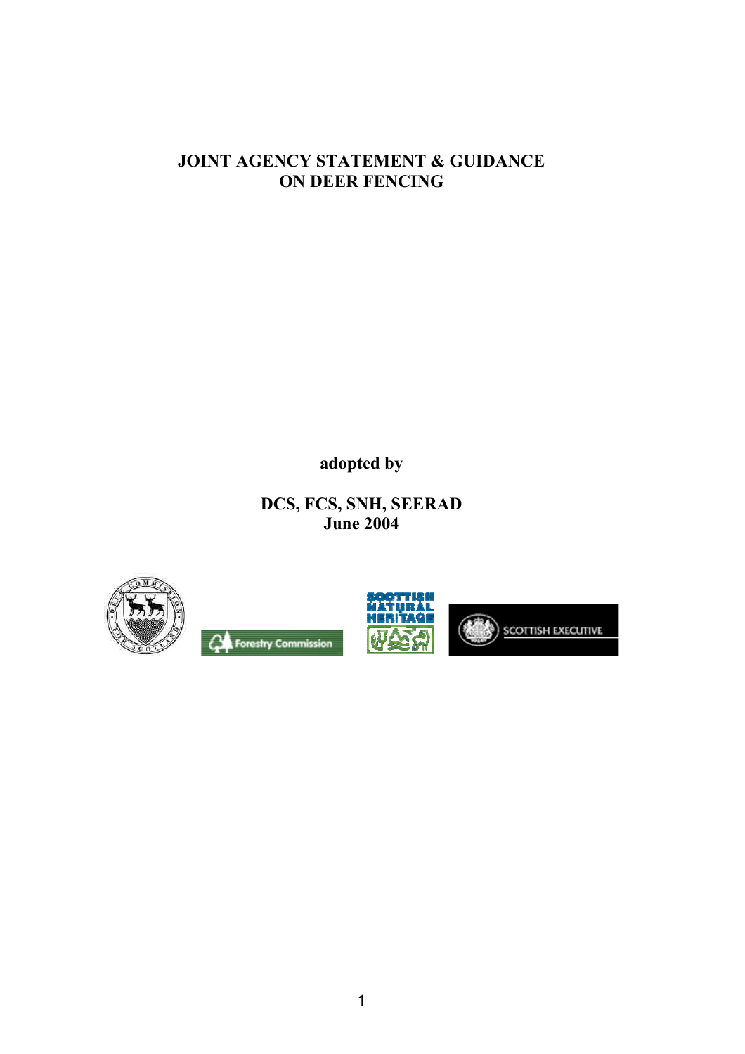### **JOINT AGENCY STATEMENT & GUIDANCE ON DEER FENCING**

**adopted by**

**DCS, FCS, SNH, SEERAD June 2004**



**CA** Forestry Commission



SCOTTISH EXECUTIVE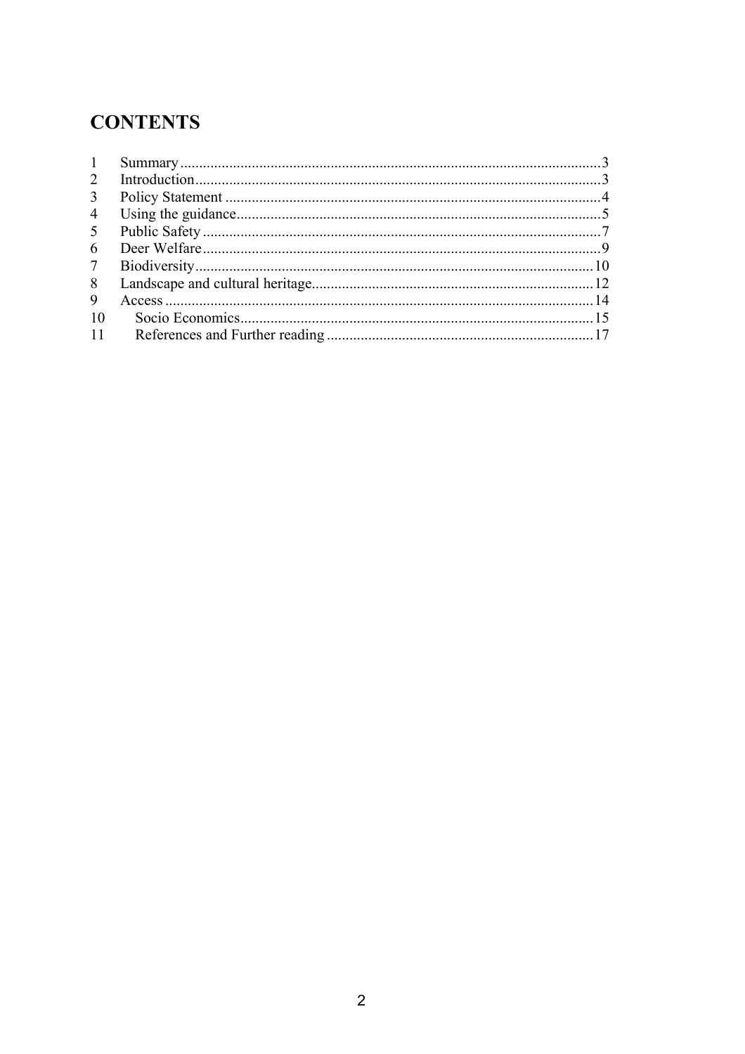# **CONTENTS**

| -1             |  |
|----------------|--|
| 2              |  |
| 3              |  |
| $\overline{4}$ |  |
| 5              |  |
| 6              |  |
| $\tau$         |  |
| 8              |  |
| 9              |  |
| 10             |  |
| -11            |  |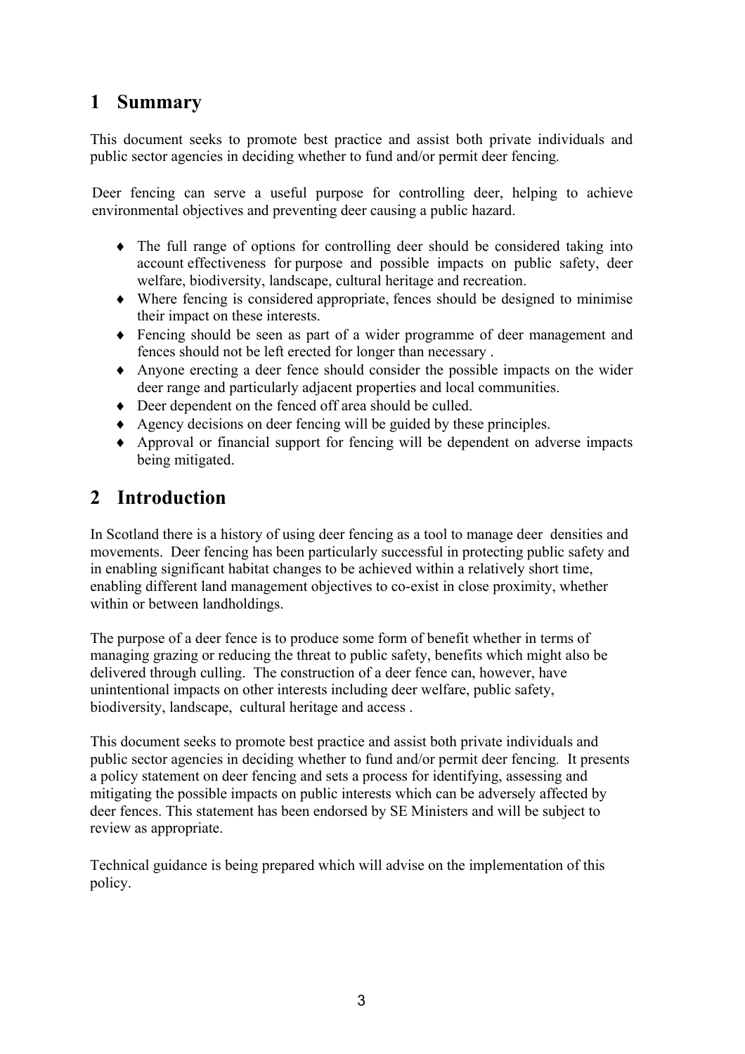### **1 Summary**

This document seeks to promote best practice and assist both private individuals and public sector agencies in deciding whether to fund and/or permit deer fencing*.*

Deer fencing can serve a useful purpose for controlling deer, helping to achieve environmental objectives and preventing deer causing a public hazard.

- ♦ The full range of options for controlling deer should be considered taking into account effectiveness for purpose and possible impacts on public safety, deer welfare, biodiversity, landscape, cultural heritage and recreation.
- ♦ Where fencing is considered appropriate, fences should be designed to minimise their impact on these interests.
- ♦ Fencing should be seen as part of a wider programme of deer management and fences should not be left erected for longer than necessary .
- ♦ Anyone erecting a deer fence should consider the possible impacts on the wider deer range and particularly adjacent properties and local communities.
- ♦ Deer dependent on the fenced off area should be culled.
- ♦ Agency decisions on deer fencing will be guided by these principles.
- ♦ Approval or financial support for fencing will be dependent on adverse impacts being mitigated.

### **2 Introduction**

In Scotland there is a history of using deer fencing as a tool to manage deer densities and movements. Deer fencing has been particularly successful in protecting public safety and in enabling significant habitat changes to be achieved within a relatively short time, enabling different land management objectives to co-exist in close proximity, whether within or between landholdings.

The purpose of a deer fence is to produce some form of benefit whether in terms of managing grazing or reducing the threat to public safety, benefits which might also be delivered through culling. The construction of a deer fence can, however, have unintentional impacts on other interests including deer welfare, public safety, biodiversity, landscape, cultural heritage and access .

This document seeks to promote best practice and assist both private individuals and public sector agencies in deciding whether to fund and/or permit deer fencing*.* It presents a policy statement on deer fencing and sets a process for identifying, assessing and mitigating the possible impacts on public interests which can be adversely affected by deer fences. This statement has been endorsed by SE Ministers and will be subject to review as appropriate.

Technical guidance is being prepared which will advise on the implementation of this policy.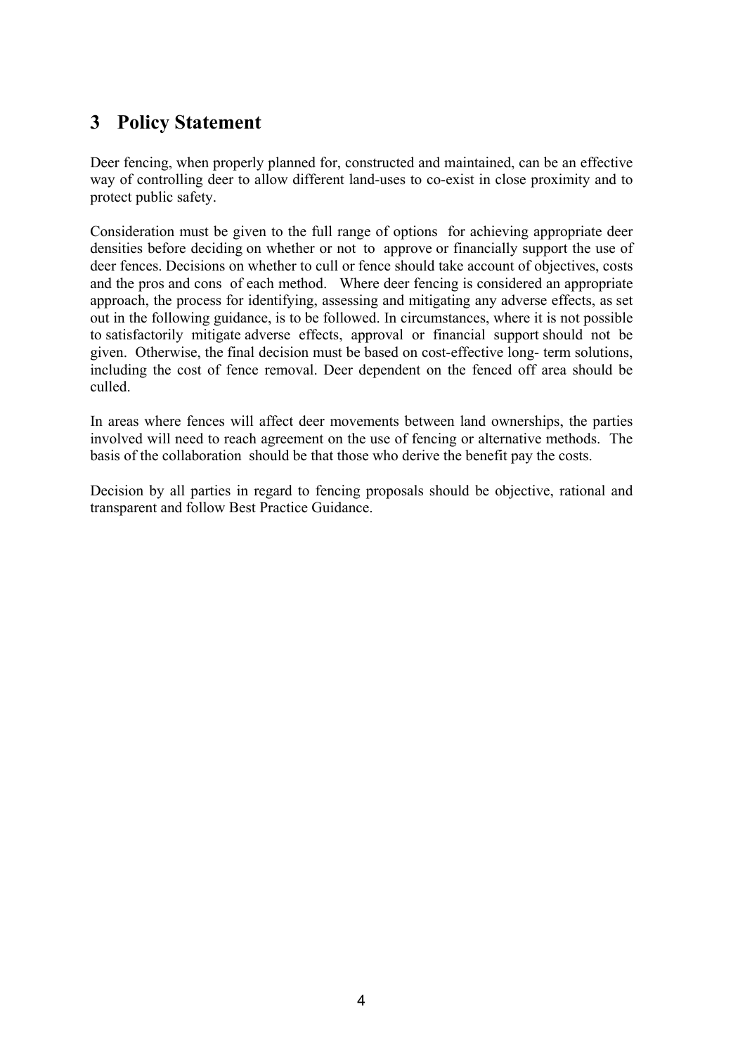## **3 Policy Statement**

Deer fencing, when properly planned for, constructed and maintained, can be an effective way of controlling deer to allow different land-uses to co-exist in close proximity and to protect public safety.

Consideration must be given to the full range of options for achieving appropriate deer densities before deciding on whether or not to approve or financially support the use of deer fences. Decisions on whether to cull or fence should take account of objectives, costs and the pros and cons of each method. Where deer fencing is considered an appropriate approach, the process for identifying, assessing and mitigating any adverse effects, as set out in the following guidance, is to be followed. In circumstances, where it is not possible to satisfactorily mitigate adverse effects, approval or financial support should not be given. Otherwise, the final decision must be based on cost-effective long- term solutions, including the cost of fence removal. Deer dependent on the fenced off area should be culled.

In areas where fences will affect deer movements between land ownerships, the parties involved will need to reach agreement on the use of fencing or alternative methods. The basis of the collaboration should be that those who derive the benefit pay the costs.

Decision by all parties in regard to fencing proposals should be objective, rational and transparent and follow Best Practice Guidance.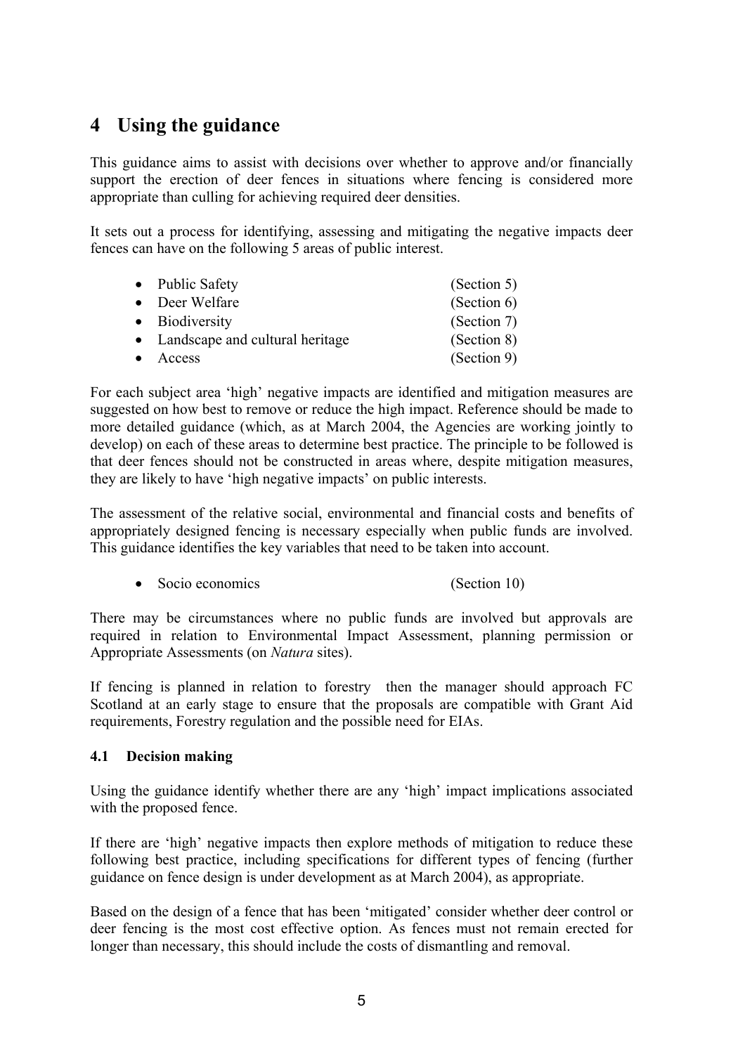## **4 Using the guidance**

This guidance aims to assist with decisions over whether to approve and/or financially support the erection of deer fences in situations where fencing is considered more appropriate than culling for achieving required deer densities.

It sets out a process for identifying, assessing and mitigating the negative impacts deer fences can have on the following 5 areas of public interest.

| • Public Safety                   | (Section 5) |
|-----------------------------------|-------------|
| • Deer Welfare                    | (Section 6) |
| • Biodiversity                    | (Section 7) |
| • Landscape and cultural heritage | (Section 8) |
| • Access                          | (Section 9) |

For each subject area 'high' negative impacts are identified and mitigation measures are suggested on how best to remove or reduce the high impact. Reference should be made to more detailed guidance (which, as at March 2004, the Agencies are working jointly to develop) on each of these areas to determine best practice. The principle to be followed is that deer fences should not be constructed in areas where, despite mitigation measures, they are likely to have 'high negative impacts' on public interests.

The assessment of the relative social, environmental and financial costs and benefits of appropriately designed fencing is necessary especially when public funds are involved. This guidance identifies the key variables that need to be taken into account.

• Socio economics (Section 10)

There may be circumstances where no public funds are involved but approvals are required in relation to Environmental Impact Assessment, planning permission or Appropriate Assessments (on *Natura* sites).

If fencing is planned in relation to forestry then the manager should approach FC Scotland at an early stage to ensure that the proposals are compatible with Grant Aid requirements, Forestry regulation and the possible need for EIAs.

#### **4.1 Decision making**

Using the guidance identify whether there are any 'high' impact implications associated with the proposed fence.

If there are 'high' negative impacts then explore methods of mitigation to reduce these following best practice, including specifications for different types of fencing (further guidance on fence design is under development as at March 2004), as appropriate.

Based on the design of a fence that has been 'mitigated' consider whether deer control or deer fencing is the most cost effective option. As fences must not remain erected for longer than necessary, this should include the costs of dismantling and removal.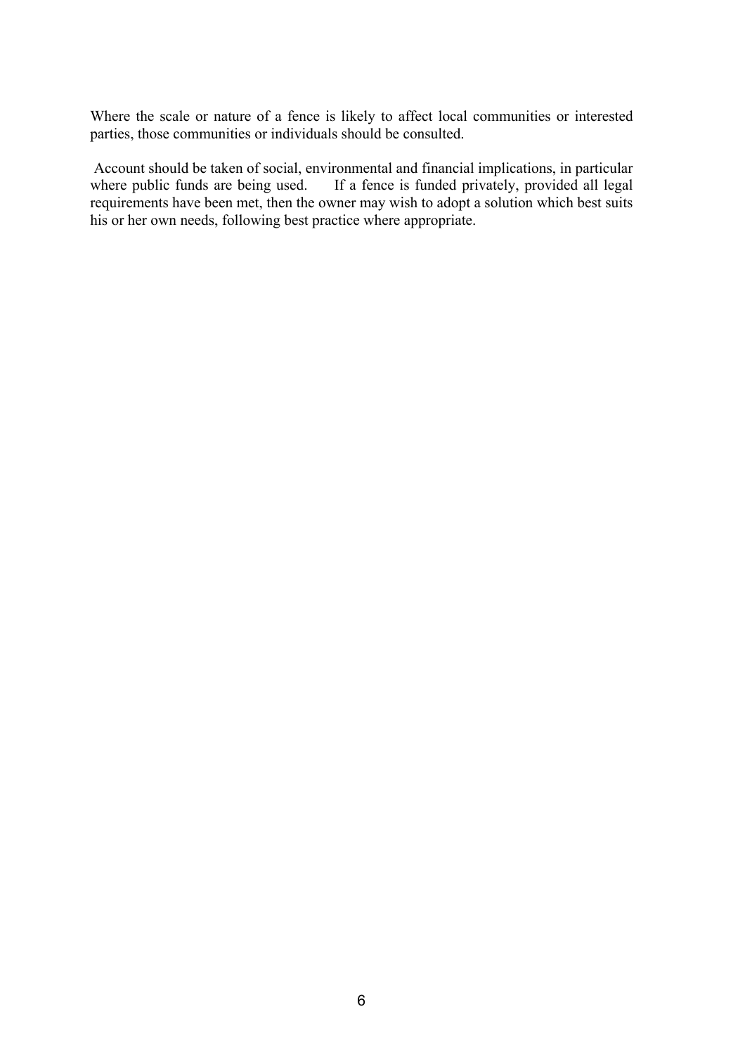Where the scale or nature of a fence is likely to affect local communities or interested parties, those communities or individuals should be consulted.

Account should be taken of social, environmental and financial implications, in particular where public funds are being used. If a fence is funded privately, provided all legal requirements have been met, then the owner may wish to adopt a solution which best suits his or her own needs, following best practice where appropriate.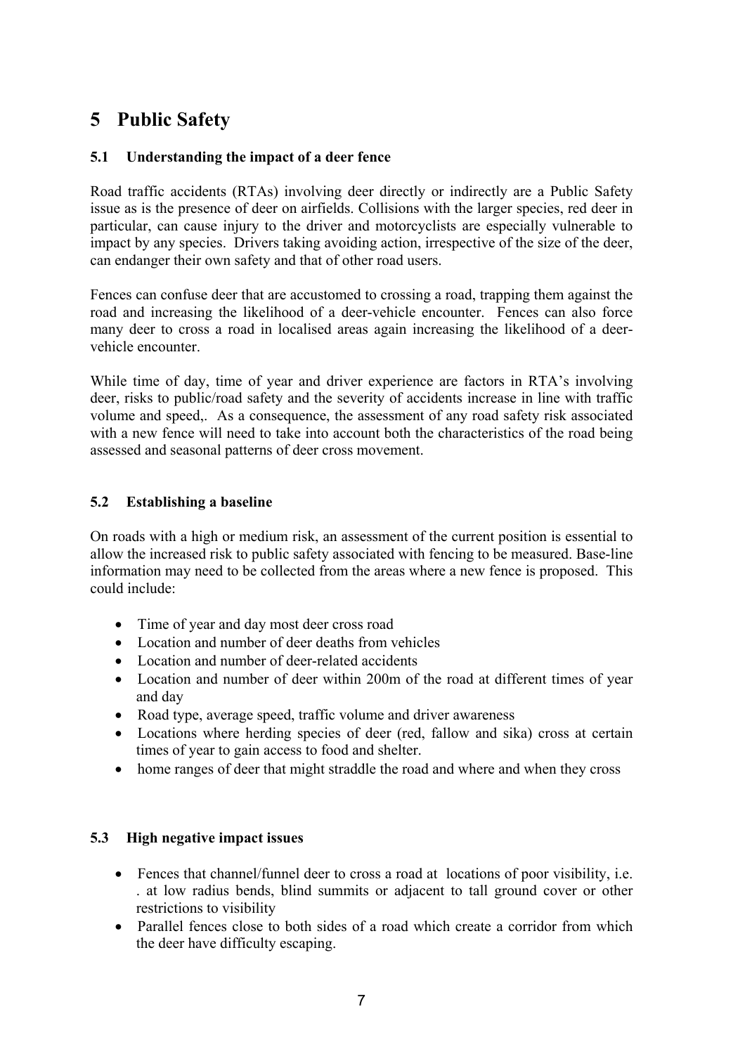## **5 Public Safety**

### **5.1 Understanding the impact of a deer fence**

Road traffic accidents (RTAs) involving deer directly or indirectly are a Public Safety issue as is the presence of deer on airfields. Collisions with the larger species, red deer in particular, can cause injury to the driver and motorcyclists are especially vulnerable to impact by any species. Drivers taking avoiding action, irrespective of the size of the deer, can endanger their own safety and that of other road users.

Fences can confuse deer that are accustomed to crossing a road, trapping them against the road and increasing the likelihood of a deer-vehicle encounter. Fences can also force many deer to cross a road in localised areas again increasing the likelihood of a deervehicle encounter.

While time of day, time of year and driver experience are factors in RTA's involving deer, risks to public/road safety and the severity of accidents increase in line with traffic volume and speed,. As a consequence, the assessment of any road safety risk associated with a new fence will need to take into account both the characteristics of the road being assessed and seasonal patterns of deer cross movement.

#### **5.2 Establishing a baseline**

On roads with a high or medium risk, an assessment of the current position is essential to allow the increased risk to public safety associated with fencing to be measured. Base-line information may need to be collected from the areas where a new fence is proposed. This could include:

- Time of year and day most deer cross road
- Location and number of deer deaths from vehicles
- Location and number of deer-related accidents
- Location and number of deer within 200m of the road at different times of year and day
- Road type, average speed, traffic volume and driver awareness
- Locations where herding species of deer (red, fallow and sika) cross at certain times of year to gain access to food and shelter.
- home ranges of deer that might straddle the road and where and when they cross

#### **5.3 High negative impact issues**

- Fences that channel/funnel deer to cross a road at locations of poor visibility, i.e. . at low radius bends, blind summits or adjacent to tall ground cover or other restrictions to visibility
- Parallel fences close to both sides of a road which create a corridor from which the deer have difficulty escaping.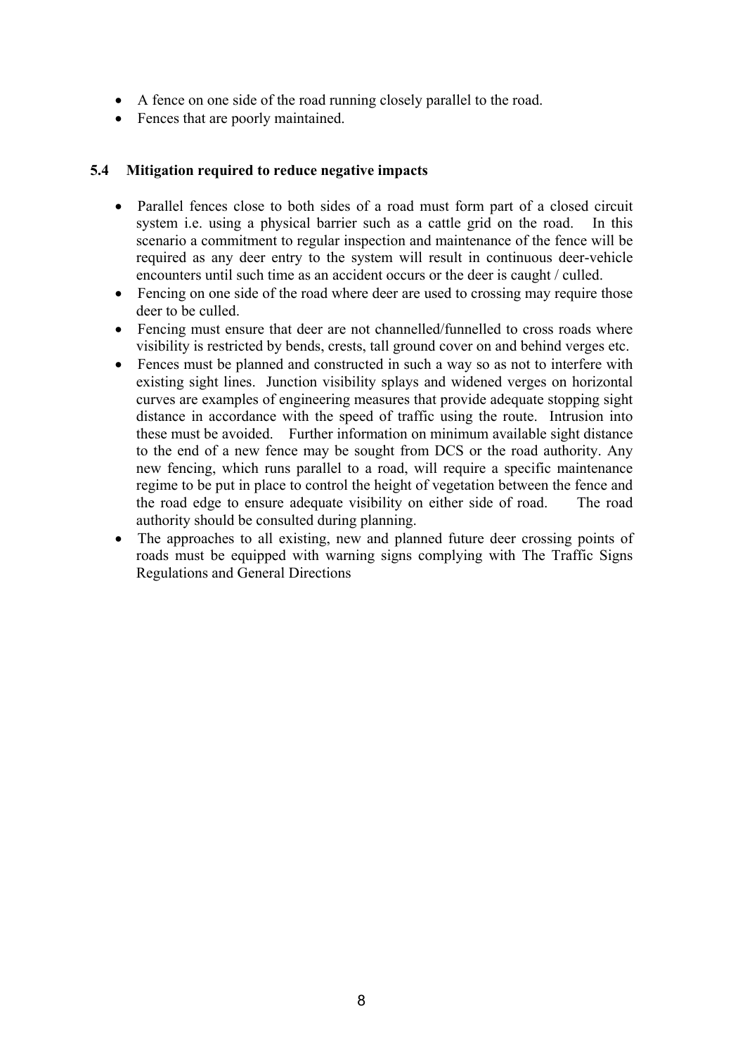- A fence on one side of the road running closely parallel to the road.
- Fences that are poorly maintained.

### **5.4 Mitigation required to reduce negative impacts**

- Parallel fences close to both sides of a road must form part of a closed circuit system i.e. using a physical barrier such as a cattle grid on the road. In this scenario a commitment to regular inspection and maintenance of the fence will be required as any deer entry to the system will result in continuous deer-vehicle encounters until such time as an accident occurs or the deer is caught / culled.
- Fencing on one side of the road where deer are used to crossing may require those deer to be culled.
- Fencing must ensure that deer are not channelled/funnelled to cross roads where visibility is restricted by bends, crests, tall ground cover on and behind verges etc.
- Fences must be planned and constructed in such a way so as not to interfere with existing sight lines. Junction visibility splays and widened verges on horizontal curves are examples of engineering measures that provide adequate stopping sight distance in accordance with the speed of traffic using the route. Intrusion into these must be avoided. Further information on minimum available sight distance to the end of a new fence may be sought from DCS or the road authority. Any new fencing, which runs parallel to a road, will require a specific maintenance regime to be put in place to control the height of vegetation between the fence and the road edge to ensure adequate visibility on either side of road. The road authority should be consulted during planning.
- The approaches to all existing, new and planned future deer crossing points of roads must be equipped with warning signs complying with The Traffic Signs Regulations and General Directions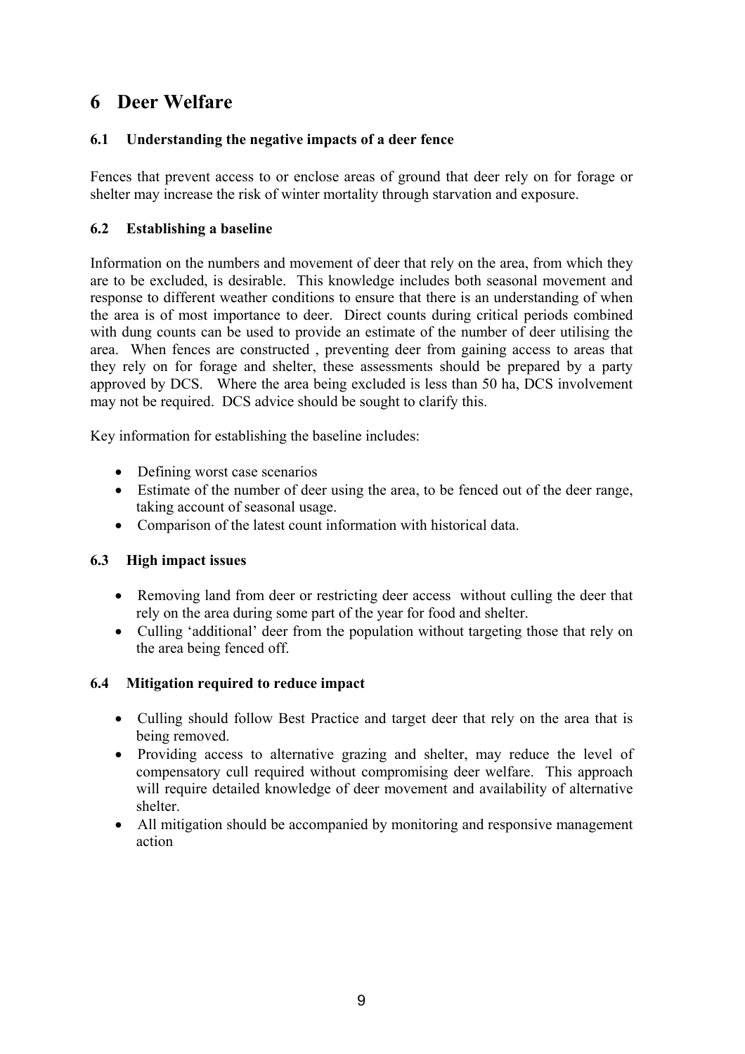### **6 Deer Welfare**

### **6.1 Understanding the negative impacts of a deer fence**

Fences that prevent access to or enclose areas of ground that deer rely on for forage or shelter may increase the risk of winter mortality through starvation and exposure.

### **6.2 Establishing a baseline**

Information on the numbers and movement of deer that rely on the area, from which they are to be excluded, is desirable. This knowledge includes both seasonal movement and response to different weather conditions to ensure that there is an understanding of when the area is of most importance to deer. Direct counts during critical periods combined with dung counts can be used to provide an estimate of the number of deer utilising the area. When fences are constructed , preventing deer from gaining access to areas that they rely on for forage and shelter, these assessments should be prepared by a party approved by DCS. Where the area being excluded is less than 50 ha, DCS involvement may not be required. DCS advice should be sought to clarify this.

Key information for establishing the baseline includes:

- Defining worst case scenarios
- Estimate of the number of deer using the area, to be fenced out of the deer range, taking account of seasonal usage.
- Comparison of the latest count information with historical data.

#### **6.3 High impact issues**

- Removing land from deer or restricting deer access without culling the deer that rely on the area during some part of the year for food and shelter.
- Culling 'additional' deer from the population without targeting those that rely on the area being fenced off.

#### **6.4 Mitigation required to reduce impact**

- Culling should follow Best Practice and target deer that rely on the area that is being removed.
- Providing access to alternative grazing and shelter, may reduce the level of compensatory cull required without compromising deer welfare. This approach will require detailed knowledge of deer movement and availability of alternative shelter.
- All mitigation should be accompanied by monitoring and responsive management action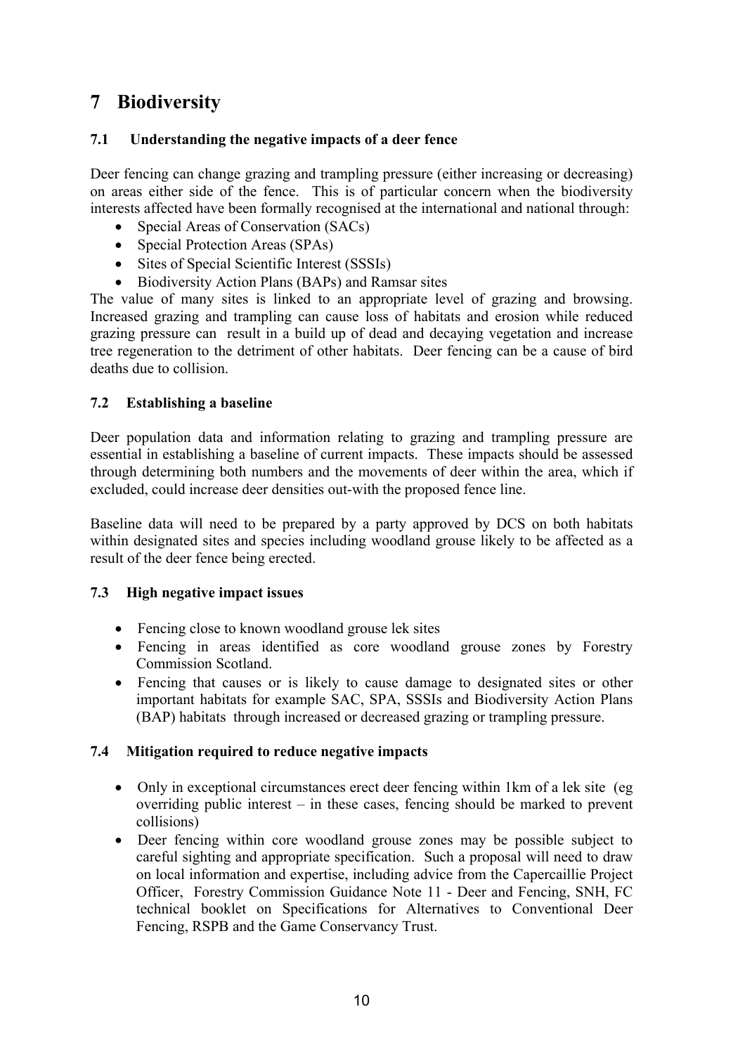## **7 Biodiversity**

#### **7.1 Understanding the negative impacts of a deer fence**

Deer fencing can change grazing and trampling pressure (either increasing or decreasing) on areas either side of the fence. This is of particular concern when the biodiversity interests affected have been formally recognised at the international and national through:

- Special Areas of Conservation (SACs)
- Special Protection Areas (SPAs)
- Sites of Special Scientific Interest (SSSIs)
- Biodiversity Action Plans (BAPs) and Ramsar sites

The value of many sites is linked to an appropriate level of grazing and browsing. Increased grazing and trampling can cause loss of habitats and erosion while reduced grazing pressure can result in a build up of dead and decaying vegetation and increase tree regeneration to the detriment of other habitats. Deer fencing can be a cause of bird deaths due to collision.

#### **7.2 Establishing a baseline**

Deer population data and information relating to grazing and trampling pressure are essential in establishing a baseline of current impacts. These impacts should be assessed through determining both numbers and the movements of deer within the area, which if excluded, could increase deer densities out-with the proposed fence line.

Baseline data will need to be prepared by a party approved by DCS on both habitats within designated sites and species including woodland grouse likely to be affected as a result of the deer fence being erected.

#### **7.3 High negative impact issues**

- Fencing close to known woodland grouse lek sites
- Fencing in areas identified as core woodland grouse zones by Forestry Commission Scotland.
- Fencing that causes or is likely to cause damage to designated sites or other important habitats for example SAC, SPA, SSSIs and Biodiversity Action Plans (BAP) habitats through increased or decreased grazing or trampling pressure.

#### **7.4 Mitigation required to reduce negative impacts**

- Only in exceptional circumstances erect deer fencing within 1 km of a lek site (eg) overriding public interest – in these cases, fencing should be marked to prevent collisions)
- Deer fencing within core woodland grouse zones may be possible subject to careful sighting and appropriate specification. Such a proposal will need to draw on local information and expertise, including advice from the Capercaillie Project Officer, Forestry Commission Guidance Note 11 - Deer and Fencing, SNH, FC technical booklet on Specifications for Alternatives to Conventional Deer Fencing, RSPB and the Game Conservancy Trust.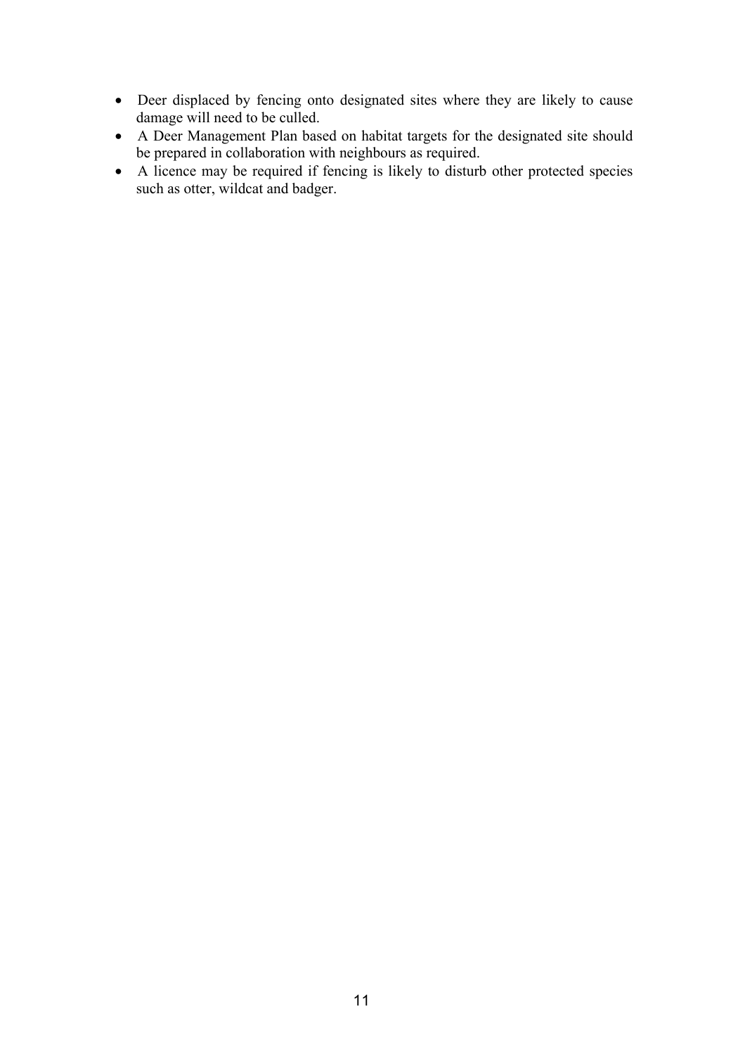- Deer displaced by fencing onto designated sites where they are likely to cause damage will need to be culled.
- A Deer Management Plan based on habitat targets for the designated site should be prepared in collaboration with neighbours as required.
- A licence may be required if fencing is likely to disturb other protected species such as otter, wildcat and badger.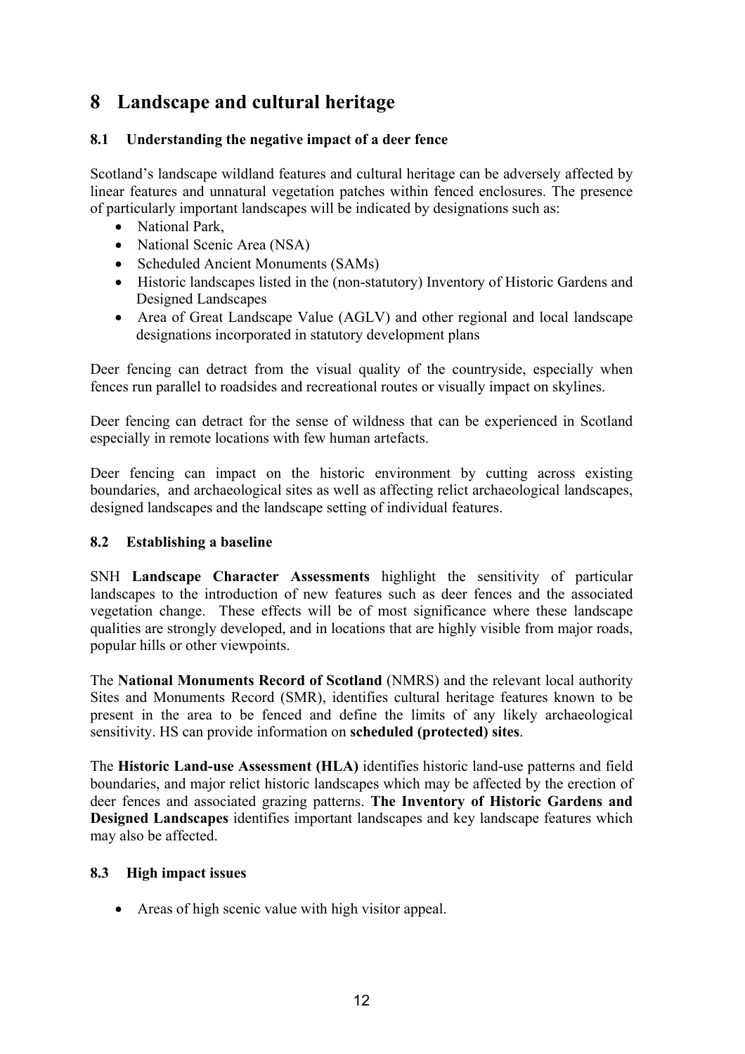## **8 Landscape and cultural heritage**

### **8.1 Understanding the negative impact of a deer fence**

Scotland's landscape wildland features and cultural heritage can be adversely affected by linear features and unnatural vegetation patches within fenced enclosures. The presence of particularly important landscapes will be indicated by designations such as:

- National Park
- National Scenic Area (NSA)
- Scheduled Ancient Monuments (SAMs)
- Historic landscapes listed in the (non-statutory) Inventory of Historic Gardens and Designed Landscapes
- Area of Great Landscape Value (AGLV) and other regional and local landscape designations incorporated in statutory development plans

Deer fencing can detract from the visual quality of the countryside, especially when fences run parallel to roadsides and recreational routes or visually impact on skylines.

Deer fencing can detract for the sense of wildness that can be experienced in Scotland especially in remote locations with few human artefacts.

Deer fencing can impact on the historic environment by cutting across existing boundaries, and archaeological sites as well as affecting relict archaeological landscapes, designed landscapes and the landscape setting of individual features.

#### **8.2 Establishing a baseline**

SNH **Landscape Character Assessments** highlight the sensitivity of particular landscapes to the introduction of new features such as deer fences and the associated vegetation change. These effects will be of most significance where these landscape qualities are strongly developed, and in locations that are highly visible from major roads, popular hills or other viewpoints.

The **National Monuments Record of Scotland** (NMRS) and the relevant local authority Sites and Monuments Record (SMR), identifies cultural heritage features known to be present in the area to be fenced and define the limits of any likely archaeological sensitivity. HS can provide information on **scheduled (protected) sites**.

The **Historic Land-use Assessment (HLA)** identifies historic land-use patterns and field boundaries, and major relict historic landscapes which may be affected by the erection of deer fences and associated grazing patterns. **The Inventory of Historic Gardens and Designed Landscapes** identifies important landscapes and key landscape features which may also be affected.

#### **8.3 High impact issues**

• Areas of high scenic value with high visitor appeal.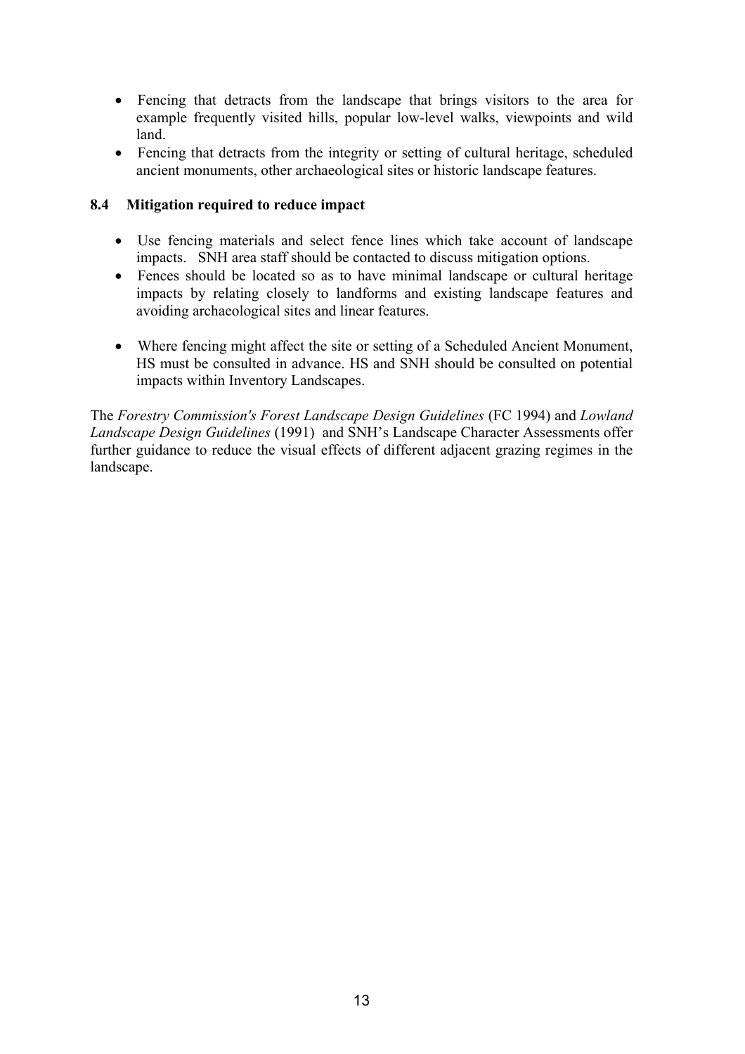- Fencing that detracts from the landscape that brings visitors to the area for example frequently visited hills, popular low-level walks, viewpoints and wild land.
- Fencing that detracts from the integrity or setting of cultural heritage, scheduled ancient monuments, other archaeological sites or historic landscape features.

### **8.4 Mitigation required to reduce impact**

- Use fencing materials and select fence lines which take account of landscape impacts. SNH area staff should be contacted to discuss mitigation options.
- Fences should be located so as to have minimal landscape or cultural heritage impacts by relating closely to landforms and existing landscape features and avoiding archaeological sites and linear features.
- Where fencing might affect the site or setting of a Scheduled Ancient Monument, HS must be consulted in advance. HS and SNH should be consulted on potential impacts within Inventory Landscapes.

The *Forestry Commission's Forest Landscape Design Guidelines* (FC 1994) and *Lowland Landscape Design Guidelines* (1991) and SNH's Landscape Character Assessments offer further guidance to reduce the visual effects of different adjacent grazing regimes in the landscape.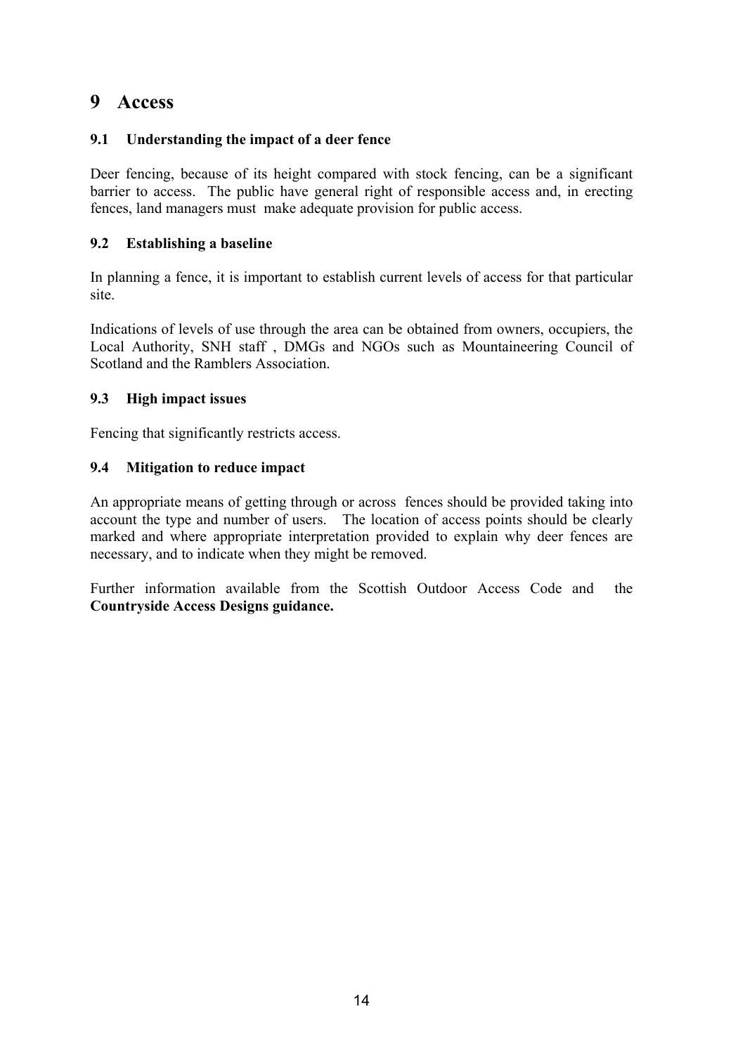### **9 Access**

### **9.1 Understanding the impact of a deer fence**

Deer fencing, because of its height compared with stock fencing, can be a significant barrier to access. The public have general right of responsible access and, in erecting fences, land managers must make adequate provision for public access.

### **9.2 Establishing a baseline**

In planning a fence, it is important to establish current levels of access for that particular site.

Indications of levels of use through the area can be obtained from owners, occupiers, the Local Authority, SNH staff , DMGs and NGOs such as Mountaineering Council of Scotland and the Ramblers Association.

#### **9.3 High impact issues**

Fencing that significantly restricts access.

#### **9.4 Mitigation to reduce impact**

An appropriate means of getting through or across fences should be provided taking into account the type and number of users. The location of access points should be clearly marked and where appropriate interpretation provided to explain why deer fences are necessary, and to indicate when they might be removed.

Further information available from the Scottish Outdoor Access Code and the **Countryside Access Designs guidance.**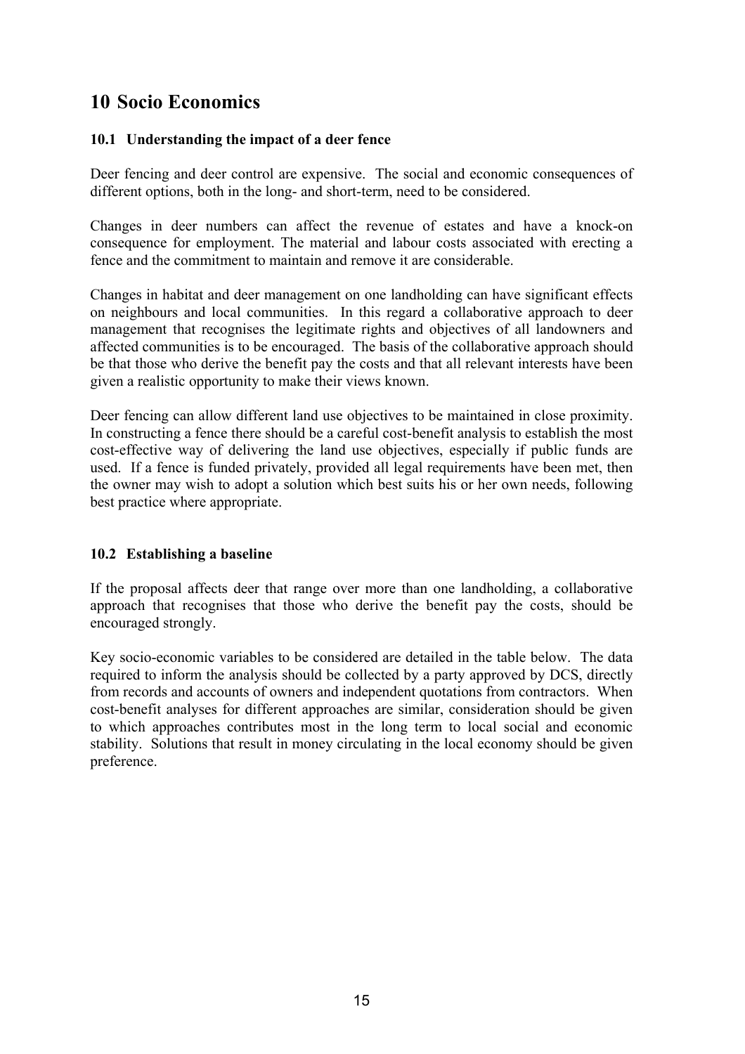### **10 Socio Economics**

#### **10.1 Understanding the impact of a deer fence**

Deer fencing and deer control are expensive. The social and economic consequences of different options, both in the long- and short-term, need to be considered.

Changes in deer numbers can affect the revenue of estates and have a knock-on consequence for employment. The material and labour costs associated with erecting a fence and the commitment to maintain and remove it are considerable.

Changes in habitat and deer management on one landholding can have significant effects on neighbours and local communities. In this regard a collaborative approach to deer management that recognises the legitimate rights and objectives of all landowners and affected communities is to be encouraged. The basis of the collaborative approach should be that those who derive the benefit pay the costs and that all relevant interests have been given a realistic opportunity to make their views known.

Deer fencing can allow different land use objectives to be maintained in close proximity. In constructing a fence there should be a careful cost-benefit analysis to establish the most cost-effective way of delivering the land use objectives, especially if public funds are used. If a fence is funded privately, provided all legal requirements have been met, then the owner may wish to adopt a solution which best suits his or her own needs, following best practice where appropriate.

#### **10.2 Establishing a baseline**

If the proposal affects deer that range over more than one landholding, a collaborative approach that recognises that those who derive the benefit pay the costs, should be encouraged strongly.

Key socio-economic variables to be considered are detailed in the table below. The data required to inform the analysis should be collected by a party approved by DCS, directly from records and accounts of owners and independent quotations from contractors. When cost-benefit analyses for different approaches are similar, consideration should be given to which approaches contributes most in the long term to local social and economic stability. Solutions that result in money circulating in the local economy should be given preference.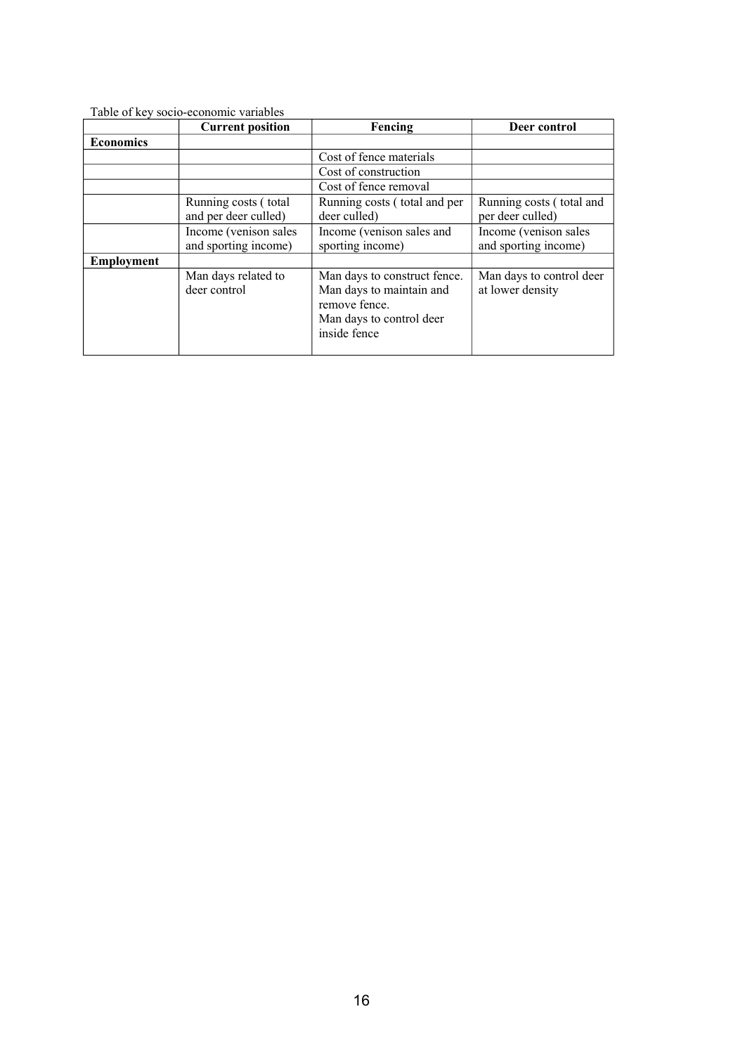| Table of key socio-economic variables |                                     |                                                                                                                       |                                              |  |  |
|---------------------------------------|-------------------------------------|-----------------------------------------------------------------------------------------------------------------------|----------------------------------------------|--|--|
|                                       | <b>Current position</b>             | Fencing                                                                                                               | Deer control                                 |  |  |
| <b>Economics</b>                      |                                     |                                                                                                                       |                                              |  |  |
|                                       |                                     | Cost of fence materials                                                                                               |                                              |  |  |
|                                       |                                     | Cost of construction                                                                                                  |                                              |  |  |
|                                       |                                     | Cost of fence removal                                                                                                 |                                              |  |  |
|                                       | Running costs (total                | Running costs (total and per                                                                                          | Running costs (total and                     |  |  |
|                                       | and per deer culled)                | deer culled)                                                                                                          | per deer culled)                             |  |  |
|                                       | Income (venison sales               | Income (venison sales and                                                                                             | Income (venison sales                        |  |  |
|                                       | and sporting income)                | sporting income)                                                                                                      | and sporting income)                         |  |  |
| <b>Employment</b>                     |                                     |                                                                                                                       |                                              |  |  |
|                                       | Man days related to<br>deer control | Man days to construct fence.<br>Man days to maintain and<br>remove fence.<br>Man days to control deer<br>inside fence | Man days to control deer<br>at lower density |  |  |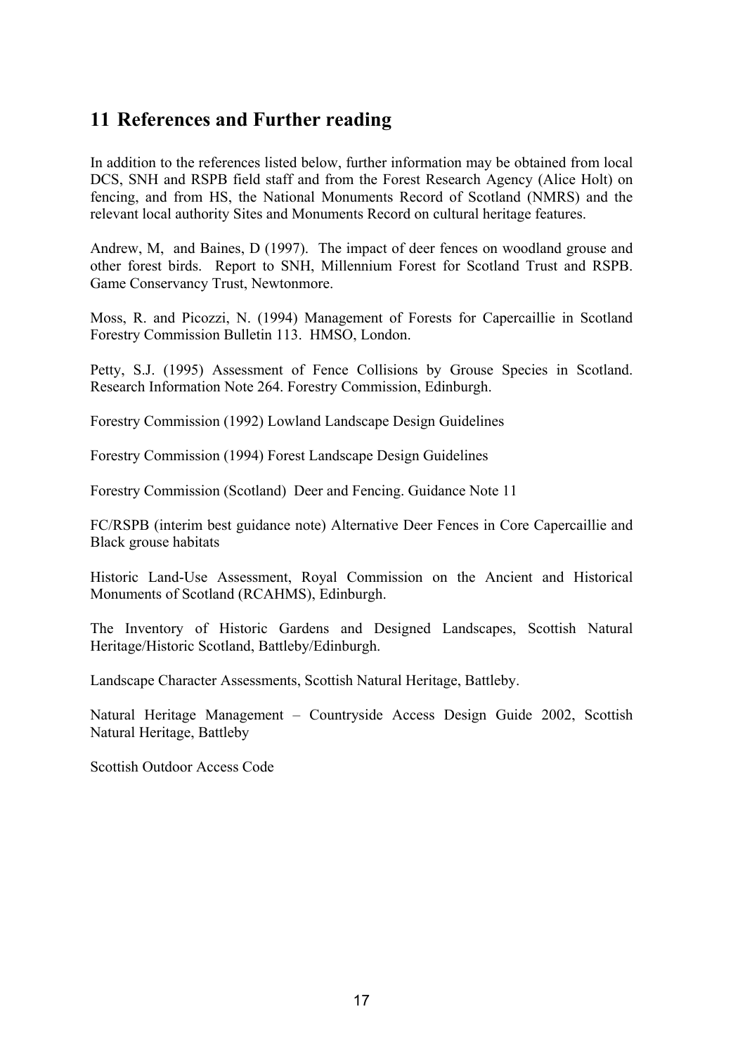### **11 References and Further reading**

In addition to the references listed below, further information may be obtained from local DCS, SNH and RSPB field staff and from the Forest Research Agency (Alice Holt) on fencing, and from HS, the National Monuments Record of Scotland (NMRS) and the relevant local authority Sites and Monuments Record on cultural heritage features.

Andrew, M, and Baines, D (1997). The impact of deer fences on woodland grouse and other forest birds. Report to SNH, Millennium Forest for Scotland Trust and RSPB. Game Conservancy Trust, Newtonmore.

Moss, R. and Picozzi, N. (1994) Management of Forests for Capercaillie in Scotland Forestry Commission Bulletin 113. HMSO, London.

Petty, S.J. (1995) Assessment of Fence Collisions by Grouse Species in Scotland. Research Information Note 264. Forestry Commission, Edinburgh.

Forestry Commission (1992) Lowland Landscape Design Guidelines

Forestry Commission (1994) Forest Landscape Design Guidelines

Forestry Commission (Scotland) Deer and Fencing. Guidance Note 11

FC/RSPB (interim best guidance note) Alternative Deer Fences in Core Capercaillie and Black grouse habitats

Historic Land-Use Assessment, Royal Commission on the Ancient and Historical Monuments of Scotland (RCAHMS), Edinburgh.

The Inventory of Historic Gardens and Designed Landscapes, Scottish Natural Heritage/Historic Scotland, Battleby/Edinburgh.

Landscape Character Assessments, Scottish Natural Heritage, Battleby.

Natural Heritage Management – Countryside Access Design Guide 2002, Scottish Natural Heritage, Battleby

Scottish Outdoor Access Code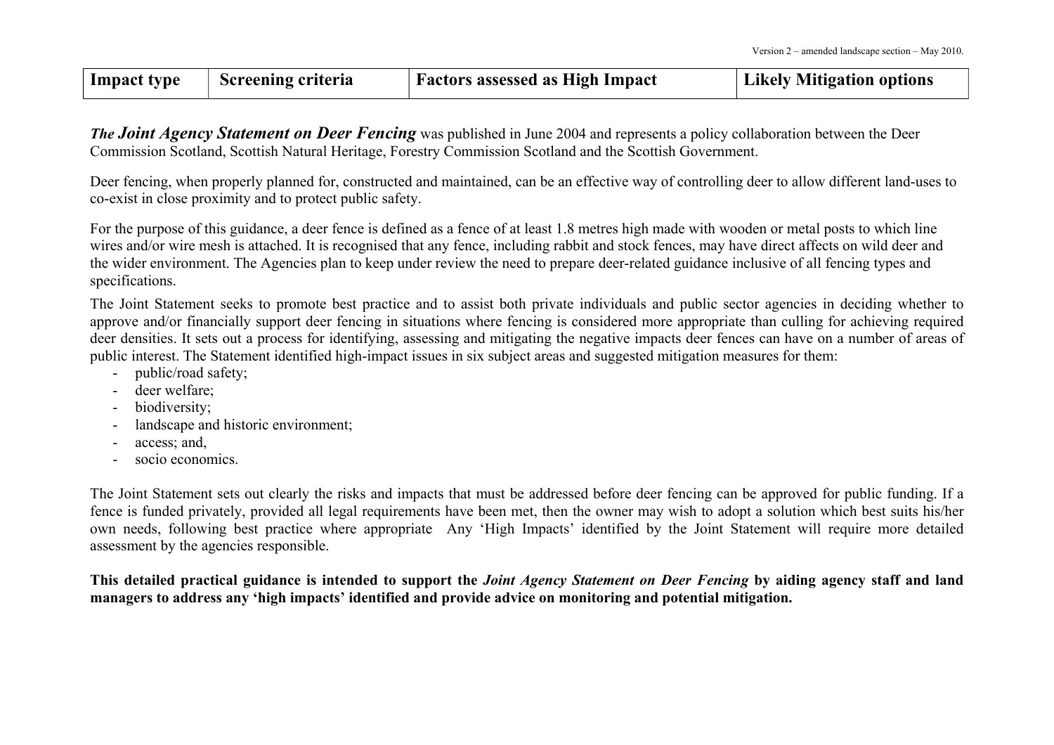| Impact type<br><b>Screening criteria</b><br><b>Factors assessed as High Impact</b> | <b>Likely Mitigation options</b> |
|------------------------------------------------------------------------------------|----------------------------------|
|------------------------------------------------------------------------------------|----------------------------------|

*The Joint Agency Statement on Deer Fencing* was published in June <sup>2004</sup> and represents <sup>a</sup> policy collaboration between the Deer Commission Scotland, Scottish Natural Heritage, Forestry Commission Scotland and the Scottish Government.

Deer fencing, when properly planned for, constructed and maintained, can be an effective way of controlling deer to allow different land-uses to co-exist in close proximity and to protect public safety.

For the purpose of this guidance, <sup>a</sup> deer fence is defined as <sup>a</sup> fence of at least 1.8 metres high made with wooden or metal posts to which line wires and/or wire mesh is attached. It is recognised that any fence, including rabbit and stock fences, may have direct affects on wild deer and the wider environment. The Agencies plan to keep under review the need to prepare deer-related guidance inclusive of all fencing types and specifications.

The Joint Statement seeks to promote best practice and to assist both private individuals and public sector agencies in deciding whether to approve and/or financially suppor<sup>t</sup> deer fencing in situations where fencing is considered more appropriate than culling for achieving required deer densities. It sets out a process for identifying, assessing and mitigating the negative impacts deer fences can have on <sup>a</sup> number of areas of public interest. The Statement identified high-impact issues in six subject areas and suggested mitigation measures for them:

- public/road safety;
- deer welfare;
- biodiversity;
- landscape and historic environment;
- access; and,
- socio economics.

The Joint Statement sets out clearly the risks and impacts that must be addressed before deer fencing can be approved for public funding. If <sup>a</sup> fence is funded privately, provided all legal requirements have been met, then the owner may wish to adopt <sup>a</sup> solution which best suits his/her own needs, following best practice where appropriate Any 'High Impacts' identified by the Joint Statement will require more detailed assessment by the agencies responsible.

This detailed practical guidance is intended to support the *Joint Agency Statement on Deer Fencing* by aiding agency staff and land managers to address any 'high impacts' identified and provide advice on monitoring and potential mitigation.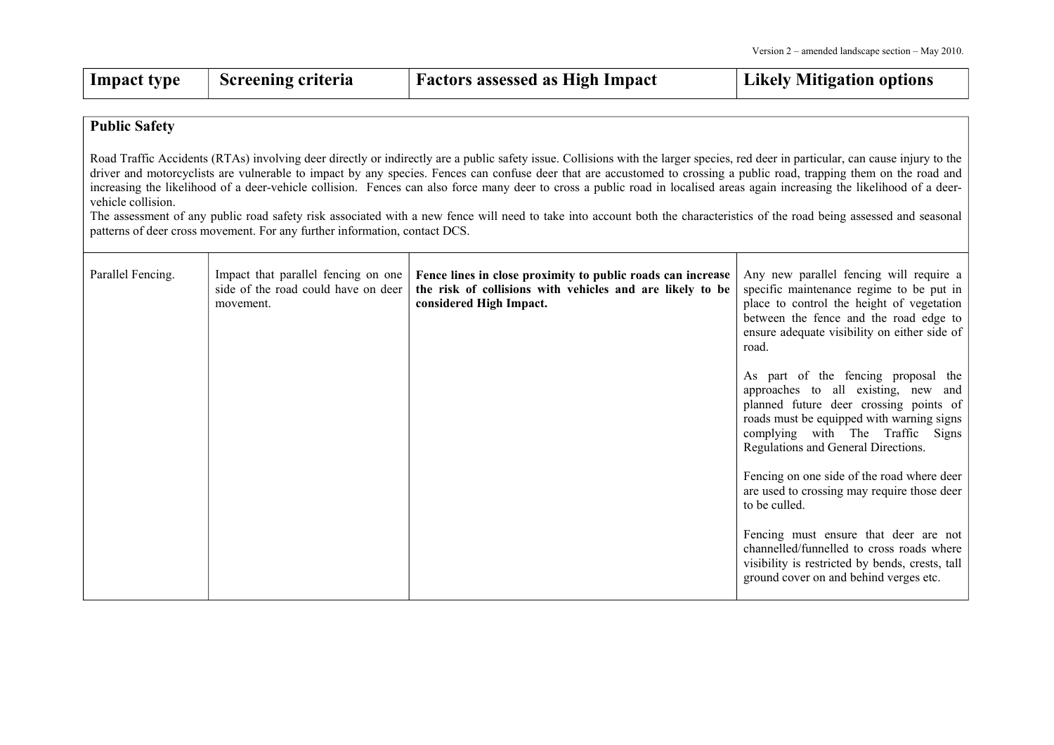| Impact type | <b>Screening criteria</b> | <b>Factors assessed as High Impact</b> | Likely Mitigation options |
|-------------|---------------------------|----------------------------------------|---------------------------|
|-------------|---------------------------|----------------------------------------|---------------------------|

#### **Public Safety**

Road Traffic Accidents (RTAs) involving deer directly or indirectly are <sup>a</sup> public safety issue. Collisions with the larger species, red deer in particular, can cause injury to the driver and motorcyclists are vulnerable to impact by any species. Fences can confuse deer that are accustomed to crossing <sup>a</sup> public road, trapping them on the road and increasing the likelihood of a deer-vehicle collision. Fences can also force many deer to cross a public road in localised areas again increasing the likelihood of a deervehicle collision.

The assessment of any public road safety risk associated with <sup>a</sup> new fence will need to take into account both the characteristics of the road being assessed and seasonal patterns of deer cross movement. For any further information, contact DCS.

| Parallel Fencing. | Impact that parallel fencing on one<br>side of the road could have on deer<br>movement. | Fence lines in close proximity to public roads can increase<br>the risk of collisions with vehicles and are likely to be<br>considered High Impact. | Any new parallel fencing will require a<br>specific maintenance regime to be put in<br>place to control the height of vegetation<br>between the fence and the road edge to<br>ensure adequate visibility on either side of<br>road.          |
|-------------------|-----------------------------------------------------------------------------------------|-----------------------------------------------------------------------------------------------------------------------------------------------------|----------------------------------------------------------------------------------------------------------------------------------------------------------------------------------------------------------------------------------------------|
|                   |                                                                                         |                                                                                                                                                     | As part of the fencing proposal the<br>approaches to all existing, new and<br>planned future deer crossing points of<br>roads must be equipped with warning signs<br>complying with The Traffic Signs<br>Regulations and General Directions. |
|                   |                                                                                         |                                                                                                                                                     | Fencing on one side of the road where deer<br>are used to crossing may require those deer<br>to be culled.                                                                                                                                   |
|                   |                                                                                         |                                                                                                                                                     | Fencing must ensure that deer are not<br>channelled/funnelled to cross roads where<br>visibility is restricted by bends, crests, tall<br>ground cover on and behind verges etc.                                                              |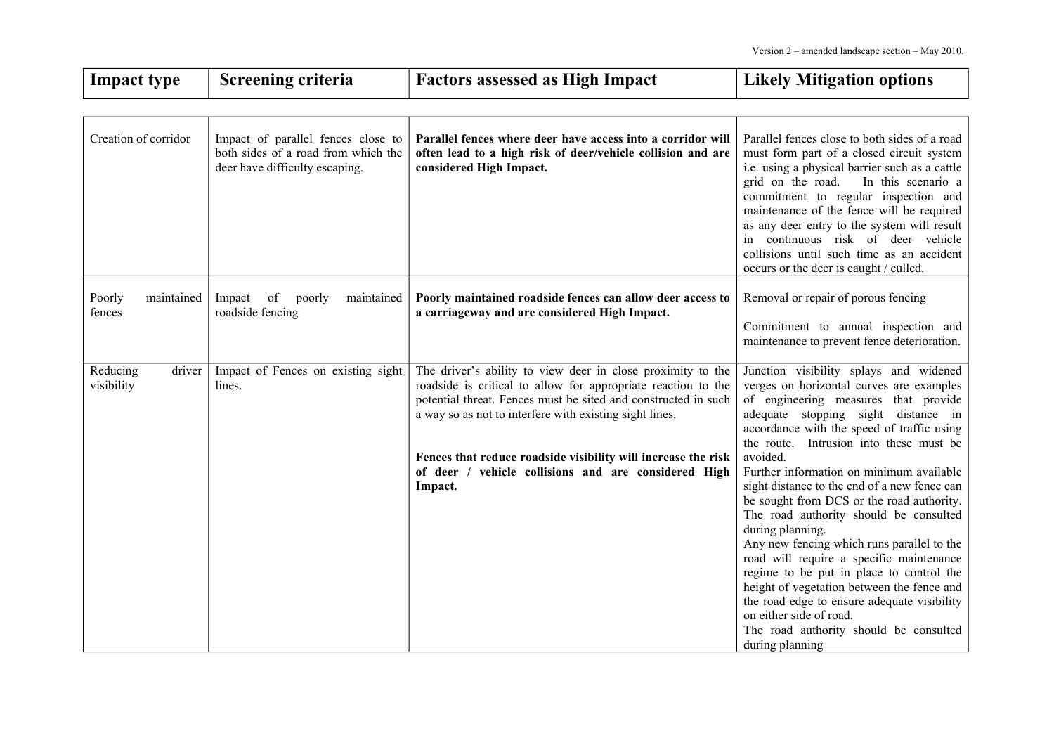| <b>Impact type</b>               | <b>Screening criteria</b>                                                                                   | <b>Factors assessed as High Impact</b>                                                                                                                                                                                                                    | <b>Likely Mitigation options</b>                                                                                                                                                                                                                                                                                                                                                                                                                                                                                                           |
|----------------------------------|-------------------------------------------------------------------------------------------------------------|-----------------------------------------------------------------------------------------------------------------------------------------------------------------------------------------------------------------------------------------------------------|--------------------------------------------------------------------------------------------------------------------------------------------------------------------------------------------------------------------------------------------------------------------------------------------------------------------------------------------------------------------------------------------------------------------------------------------------------------------------------------------------------------------------------------------|
|                                  |                                                                                                             |                                                                                                                                                                                                                                                           |                                                                                                                                                                                                                                                                                                                                                                                                                                                                                                                                            |
| Creation of corridor             | Impact of parallel fences close to<br>both sides of a road from which the<br>deer have difficulty escaping. | Parallel fences where deer have access into a corridor will<br>often lead to a high risk of deer/vehicle collision and are<br>considered High Impact.                                                                                                     | Parallel fences close to both sides of a road<br>must form part of a closed circuit system<br>i.e. using a physical barrier such as a cattle<br>grid on the road.<br>In this scenario a<br>commitment to regular inspection and<br>maintenance of the fence will be required<br>as any deer entry to the system will result<br>in continuous risk of deer vehicle<br>collisions until such time as an accident<br>occurs or the deer is caught / culled.                                                                                   |
| Poorly<br>maintained<br>fences   | Impact<br>of<br>maintained<br>poorly<br>roadside fencing                                                    | Poorly maintained roadside fences can allow deer access to<br>a carriageway and are considered High Impact.                                                                                                                                               | Removal or repair of porous fencing<br>Commitment to annual inspection and<br>maintenance to prevent fence deterioration.                                                                                                                                                                                                                                                                                                                                                                                                                  |
| Reducing<br>driver<br>visibility | Impact of Fences on existing sight<br>lines.                                                                | The driver's ability to view deer in close proximity to the<br>roadside is critical to allow for appropriate reaction to the<br>potential threat. Fences must be sited and constructed in such<br>a way so as not to interfere with existing sight lines. | Junction visibility splays and widened<br>verges on horizontal curves are examples<br>of engineering measures that provide<br>adequate stopping sight distance in<br>accordance with the speed of traffic using<br>the route. Intrusion into these must be                                                                                                                                                                                                                                                                                 |
|                                  |                                                                                                             | Fences that reduce roadside visibility will increase the risk<br>of deer / vehicle collisions and are considered High<br>Impact.                                                                                                                          | avoided.<br>Further information on minimum available<br>sight distance to the end of a new fence can<br>be sought from DCS or the road authority.<br>The road authority should be consulted<br>during planning.<br>Any new fencing which runs parallel to the<br>road will require a specific maintenance<br>regime to be put in place to control the<br>height of vegetation between the fence and<br>the road edge to ensure adequate visibility<br>on either side of road.<br>The road authority should be consulted<br>during planning |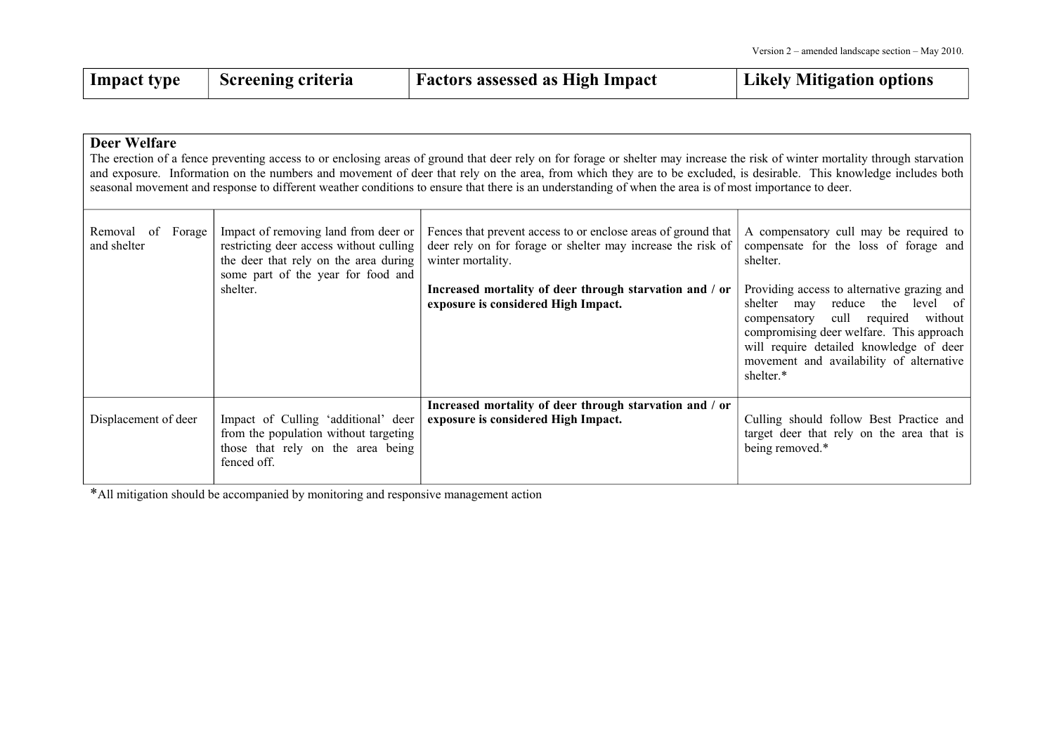| $\perp$ Impact type | <b>Screening criteria</b> | <b>Factors assessed as High Impact</b> | Likely Mitigation options |
|---------------------|---------------------------|----------------------------------------|---------------------------|
|                     |                           |                                        |                           |

| <b>Deer Welfare</b><br>The erection of a fence preventing access to or enclosing areas of ground that deer rely on for forage or shelter may increase the risk of winter mortality through starvation<br>and exposure. Information on the numbers and movement of deer that rely on the area, from which they are to be excluded, is desirable. This knowledge includes both<br>seasonal movement and response to different weather conditions to ensure that there is an understanding of when the area is of most importance to deer. |                                                                                                                                                                            |                                                                                                                                                                                                                                                     |                                                                                                                                                                                                                                                                                                                                                                                               |  |  |
|-----------------------------------------------------------------------------------------------------------------------------------------------------------------------------------------------------------------------------------------------------------------------------------------------------------------------------------------------------------------------------------------------------------------------------------------------------------------------------------------------------------------------------------------|----------------------------------------------------------------------------------------------------------------------------------------------------------------------------|-----------------------------------------------------------------------------------------------------------------------------------------------------------------------------------------------------------------------------------------------------|-----------------------------------------------------------------------------------------------------------------------------------------------------------------------------------------------------------------------------------------------------------------------------------------------------------------------------------------------------------------------------------------------|--|--|
| Removal of<br>Forage<br>and shelter                                                                                                                                                                                                                                                                                                                                                                                                                                                                                                     | Impact of removing land from deer or<br>restricting deer access without culling<br>the deer that rely on the area during<br>some part of the year for food and<br>shelter. | Fences that prevent access to or enclose areas of ground that<br>deer rely on for forage or shelter may increase the risk of<br>winter mortality.<br>Increased mortality of deer through starvation and / or<br>exposure is considered High Impact. | A compensatory cull may be required to<br>compensate for the loss of forage and<br>shelter.<br>Providing access to alternative grazing and<br>shelter<br>reduce<br>the<br>may<br>$level$ of $ $<br>cull required<br>without  <br>compensatory<br>compromising deer welfare. This approach<br>will require detailed knowledge of deer<br>movement and availability of alternative<br>shelter.* |  |  |
| Displacement of deer                                                                                                                                                                                                                                                                                                                                                                                                                                                                                                                    | Impact of Culling 'additional' deer<br>from the population without targeting<br>those that rely on the area being<br>fenced off.                                           | Increased mortality of deer through starvation and / or<br>exposure is considered High Impact.                                                                                                                                                      | Culling should follow Best Practice and<br>target deer that rely on the area that is<br>being removed.*                                                                                                                                                                                                                                                                                       |  |  |

\*All mitigation should be accompanied by monitoring and responsive managemen<sup>t</sup> action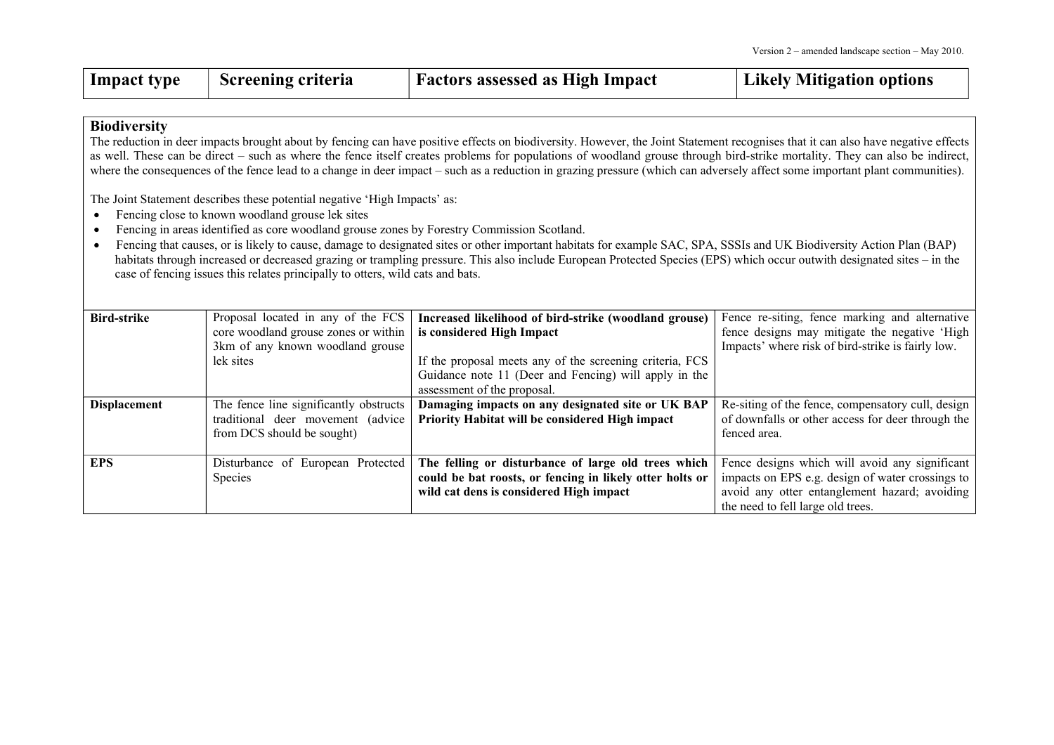| Impact type | <sup>1</sup> Screening criteria | <b>Factors assessed as High Impact</b> | Likely Mitigation options |
|-------------|---------------------------------|----------------------------------------|---------------------------|
|-------------|---------------------------------|----------------------------------------|---------------------------|

#### **Biodiversity**

The reduction in deer impacts brought about by fencing can have positive effects on biodiversity. However, the Joint Statement recognises that it can also have negative effects as well. These can be direct – such as where the fence itself creates problems for populations of woodland grouse through bird-strike mortality. They can also be indirect, where the consequences of the fence lead to a change in deer impact – such as a reduction in grazing pressure (which can adversely affect some important plant communities).

The Joint Statement describes these potential negative 'High Impacts' as:

- $\bullet$ Fencing close to known woodland grouse lek sites
- $\bullet$ Fencing in areas identified as core woodland grouse zones by Forestry Commission Scotland.
- $\bullet$  Fencing that causes, or is likely to cause, damage to designated sites or other important habitats for example SAC, SPA, SSSIs and UK Biodiversity Action Plan (BAP) habitats through increased or decreased grazing or trampling pressure. This also include European Protected Species (EPS) which occur outwith designated sites – in the case of fencing issues this relates principally to otters, wild cats and bats.

| <b>Bird-strike</b>  | Proposal located in any of the FCS     | Increased likelihood of bird-strike (woodland grouse)    | Fence re-siting, fence marking and alternative    |
|---------------------|----------------------------------------|----------------------------------------------------------|---------------------------------------------------|
|                     | core woodland grouse zones or within   | is considered High Impact                                | fence designs may mitigate the negative 'High     |
|                     | 3km of any known woodland grouse       |                                                          | Impacts' where risk of bird-strike is fairly low. |
|                     | lek sites                              | If the proposal meets any of the screening criteria, FCS |                                                   |
|                     |                                        | Guidance note 11 (Deer and Fencing) will apply in the    |                                                   |
|                     |                                        | assessment of the proposal.                              |                                                   |
| <b>Displacement</b> | The fence line significantly obstructs | Damaging impacts on any designated site or UK BAP        | Re-siting of the fence, compensatory cull, design |
|                     | traditional deer movement (advice      | Priority Habitat will be considered High impact          | of downfalls or other access for deer through the |
|                     | from DCS should be sought)             |                                                          | fenced area.                                      |
|                     |                                        |                                                          |                                                   |
| EPS.                | Disturbance of European Protected      | The felling or disturbance of large old trees which      | Fence designs which will avoid any significant    |
|                     | Species                                | could be bat roosts, or fencing in likely otter holts or | impacts on EPS e.g. design of water crossings to  |
|                     |                                        | wild cat dens is considered High impact                  | avoid any otter entanglement hazard; avoiding     |
|                     |                                        |                                                          | the need to fell large old trees.                 |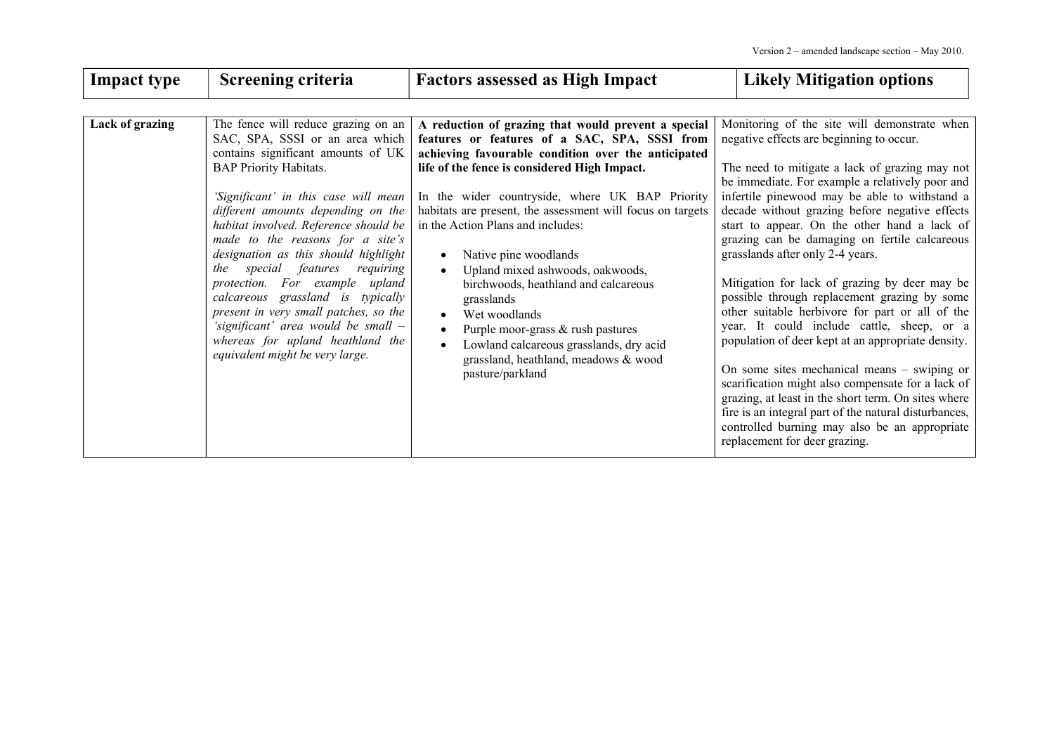| <b>Impact type</b> | Screening criteria                                                                                                                                                                                                                                                                                                                                                                                                                                                                                                                                                                                                        | <b>Factors assessed as High Impact</b>                                                                                                                                                                                                                                                                                                                                                                                                                                                                                                                                                                                                                         | <b>Likely Mitigation options</b>                                                                                                                                                                                                                                                                                                                                                                                                                                                                                                                                                                                                                                                                                                                                                                                                                                                                                                                                                                      |
|--------------------|---------------------------------------------------------------------------------------------------------------------------------------------------------------------------------------------------------------------------------------------------------------------------------------------------------------------------------------------------------------------------------------------------------------------------------------------------------------------------------------------------------------------------------------------------------------------------------------------------------------------------|----------------------------------------------------------------------------------------------------------------------------------------------------------------------------------------------------------------------------------------------------------------------------------------------------------------------------------------------------------------------------------------------------------------------------------------------------------------------------------------------------------------------------------------------------------------------------------------------------------------------------------------------------------------|-------------------------------------------------------------------------------------------------------------------------------------------------------------------------------------------------------------------------------------------------------------------------------------------------------------------------------------------------------------------------------------------------------------------------------------------------------------------------------------------------------------------------------------------------------------------------------------------------------------------------------------------------------------------------------------------------------------------------------------------------------------------------------------------------------------------------------------------------------------------------------------------------------------------------------------------------------------------------------------------------------|
| Lack of grazing    | The fence will reduce grazing on an<br>SAC, SPA, SSSI or an area which<br>contains significant amounts of UK<br><b>BAP Priority Habitats.</b><br>'Significant' in this case will mean<br>different amounts depending on the<br>habitat involved. Reference should be<br>made to the reasons for a site's<br>designation as this should highlight<br>special features<br>requiring<br>the<br>protection. For example<br>upland<br>calcareous grassland is typically<br>present in very small patches, so the<br>'significant' area would be small –<br>whereas for upland heathland the<br>equivalent might be very large. | A reduction of grazing that would prevent a special<br>features or features of a SAC, SPA, SSSI from<br>achieving favourable condition over the anticipated<br>life of the fence is considered High Impact.<br>In the wider countryside, where UK BAP Priority<br>habitats are present, the assessment will focus on targets<br>in the Action Plans and includes:<br>Native pine woodlands<br>Upland mixed ashwoods, oakwoods,<br>$\bullet$<br>birchwoods, heathland and calcareous<br>grasslands<br>Wet woodlands<br>Purple moor-grass & rush pastures<br>Lowland calcareous grasslands, dry acid<br>grassland, heathland, meadows & wood<br>pasture/parkland | Monitoring of the site will demonstrate when<br>negative effects are beginning to occur.<br>The need to mitigate a lack of grazing may not<br>be immediate. For example a relatively poor and<br>infertile pinewood may be able to withstand a<br>decade without grazing before negative effects<br>start to appear. On the other hand a lack of<br>grazing can be damaging on fertile calcareous<br>grasslands after only 2-4 years.<br>Mitigation for lack of grazing by deer may be<br>possible through replacement grazing by some<br>other suitable herbivore for part or all of the<br>year. It could include cattle, sheep, or a<br>population of deer kept at an appropriate density.<br>On some sites mechanical means $-$ swiping or<br>scarification might also compensate for a lack of<br>grazing, at least in the short term. On sites where<br>fire is an integral part of the natural disturbances,<br>controlled burning may also be an appropriate<br>replacement for deer grazing. |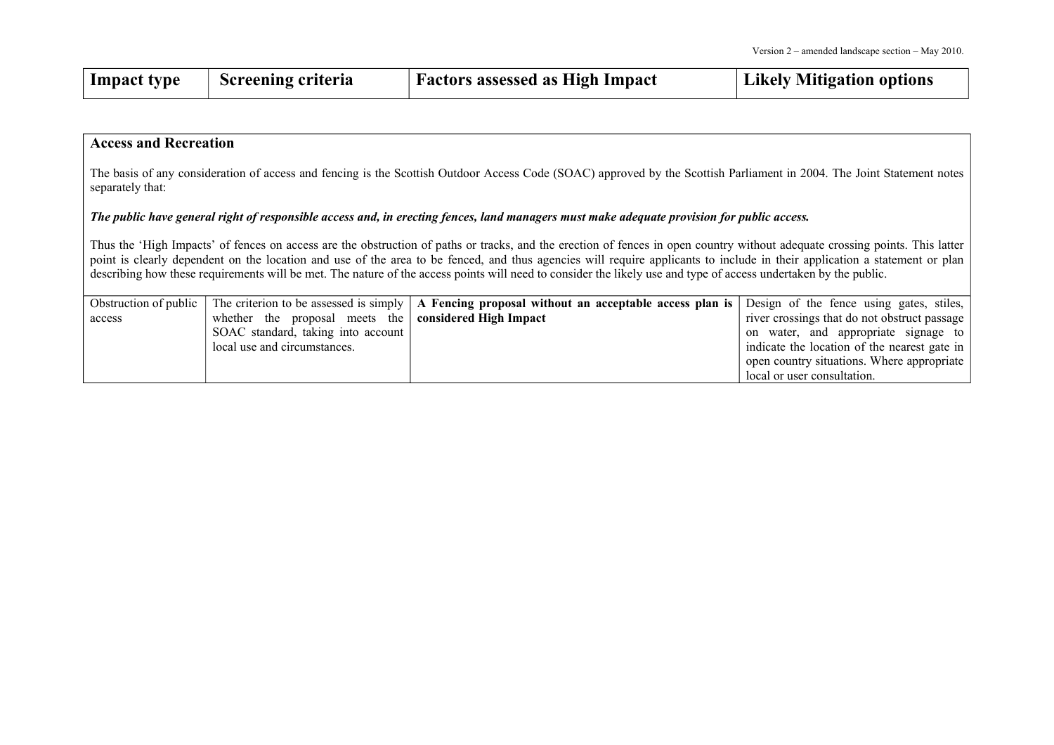| Impact type | Screening criteria | <b>Factors assessed as High Impact</b> | Likely Mitigation options |
|-------------|--------------------|----------------------------------------|---------------------------|
|-------------|--------------------|----------------------------------------|---------------------------|

#### **Access and Recreation**

The basis of any consideration of access and fencing is the Scottish Outdoor Access Code (SOAC) approved by the Scottish Parliament in 2004. The Joint Statement notes separately that:

#### The public have general right of responsible access and, in erecting fences, land managers must make adequate provision for public access.

Thus the 'High Impacts' of fences on access are the obstruction of paths or tracks, and the erection of fences in open country without adequate crossing points. This latter point is clearly dependent on the location and use of the area to be fenced, and thus agencies will require applicants to include in their application a statement or plan describing how these requirements will be met. The nature of the access points will need to consider the likely use and type of access undertaken by the public.

| Obstruction of public |                                                              | The criterion to be assessed is simply $\vert$ A Fencing proposal without an acceptable access plan is $\vert$ Design of the fence using gates, stiles, |                                              |
|-----------------------|--------------------------------------------------------------|---------------------------------------------------------------------------------------------------------------------------------------------------------|----------------------------------------------|
| access                | whether the proposal meets the <b>considered High Impact</b> |                                                                                                                                                         | river crossings that do not obstruct passage |
|                       | SOAC standard, taking into account                           |                                                                                                                                                         | on water, and appropriate signage to         |
|                       | local use and circumstances.                                 |                                                                                                                                                         | indicate the location of the nearest gate in |
|                       |                                                              |                                                                                                                                                         | open country situations. Where appropriate   |
|                       |                                                              |                                                                                                                                                         | local or user consultation.                  |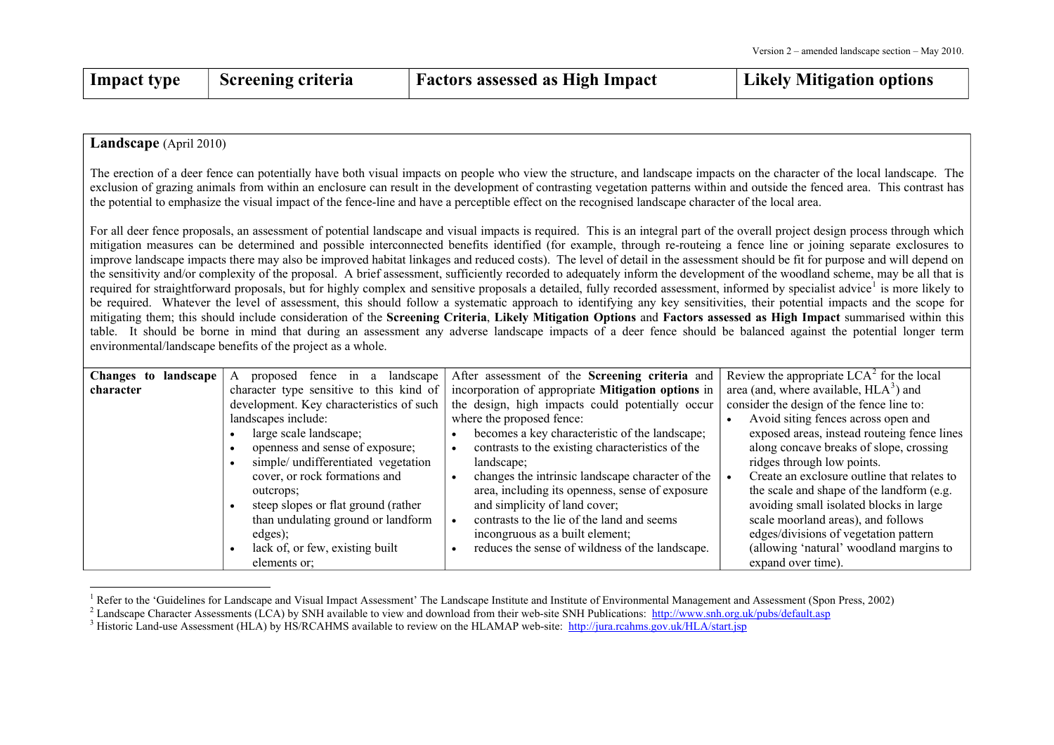| $\perp$ Impact type | <b>Screening criteria</b> | <b>Factors assessed as High Impact</b> | Likely Mitigation options |
|---------------------|---------------------------|----------------------------------------|---------------------------|
|                     |                           |                                        |                           |

#### **Landscape** (April 2010)

The erection of <sup>a</sup> deer fence can potentially have both visual impacts on people who view the structure, and landscape impacts on the character of the local landscape. The exclusion of grazing animals from within an enclosure can result in the development of contrasting vegetation patterns within and outside the fenced area. This contrast has the potential to emphasize the visual impact of the fence-line and have <sup>a</sup> perceptible effect on the recognised landscape character of the local area.

For all deer fence proposals, an assessment of potential landscape and visual impacts is required. This is an integral par<sup>t</sup> of the overall project design process through which mitigation measures can be determined and possible interconnected benefits identified (for example, through re-routeing <sup>a</sup> fence line or joining separate exclosures to improve landscape impacts there may also be improved habitat linkages and reduced costs). The level of detail in the assessment should be fit for purpose and will depend on the sensitivity and/or complexity of the proposal. A brief assessment, sufficiently recorded to adequately inform the development of the woodland scheme, may be all that is required for straightforward proposals, but for highly complex and sensitive proposals a detailed, fully recorded assessment, informed by specialist advice<sup>[1](#page-24-2)</sup> is more likely to be required. Whatever the level of assessment, this should follow <sup>a</sup> systematic approach to identifying any key sensitivities, their potential impacts and the scope for mitigating them; this should include consideration of the Screening Criteria, Likely Mitigation Options and Factors assessed as High Impact summarised within this table. It should be borne in mind that during an assessment any adverse landscape impacts of <sup>a</sup> deer fence should be balanced against the potential longer term environmental/landscape benefits of the project as <sup>a</sup> whole.

| landscape $\mathcal{A}$<br>Changes to | landscape<br>proposed fence in a         | After assessment of the Screening criteria and                | Review the appropriate $LCA2$ for the local |
|---------------------------------------|------------------------------------------|---------------------------------------------------------------|---------------------------------------------|
| character                             | character type sensitive to this kind of | incorporation of appropriate Mitigation options in            | area (and, where available, $HLA^3$ ) and   |
|                                       | development. Key characteristics of such | the design, high impacts could potentially occur              | consider the design of the fence line to:   |
|                                       | landscapes include:                      | where the proposed fence:                                     | Avoid siting fences across open and         |
|                                       | large scale landscape;                   | becomes a key characteristic of the landscape;                | exposed areas, instead routeing fence lines |
|                                       | openness and sense of exposure;          | contrasts to the existing characteristics of the<br>$\bullet$ | along concave breaks of slope, crossing     |
|                                       | simple/ undifferentiated vegetation      | landscape;                                                    | ridges through low points.                  |
|                                       | cover, or rock formations and            | changes the intrinsic landscape character of the              | Create an exclosure outline that relates to |
|                                       | outcrops:                                | area, including its openness, sense of exposure               | the scale and shape of the landform (e.g.   |
|                                       | steep slopes or flat ground (rather      | and simplicity of land cover;                                 | avoiding small isolated blocks in large     |
|                                       | than undulating ground or landform       | contrasts to the lie of the land and seems                    | scale moorland areas), and follows          |
|                                       | edges);                                  | incongruous as a built element;                               | edges/divisions of vegetation pattern       |
|                                       | lack of, or few, existing built          | reduces the sense of wildness of the landscape.               | (allowing 'natural' woodland margins to     |
|                                       | elements or:                             |                                                               | expand over time).                          |

<span id="page-24-2"></span><sup>&</sup>lt;sup>1</sup> Refer to the 'Guidelines for Landscape and Visual Impact Assessment' The Landscape Institute and Institute of Environmental Management and Assessment (Spon Press, 2002)

<span id="page-24-1"></span><sup>&</sup>lt;sup>2</sup> Landscape Character Assessments (LCA) by SNH available to view and download from their web-site SNH Publications:  $\frac{http://www.sh.org.uk/pubs/default,asp}{http://www.sh.org.uk/pubs/default,asp})$ 

<span id="page-24-0"></span> $3$  Historic Land-use Assessment (HLA) by HS/RCAHMS available to review on the HLAMAP web-site: <http://jura.rcahms.gov.uk/HLA/start.jsp>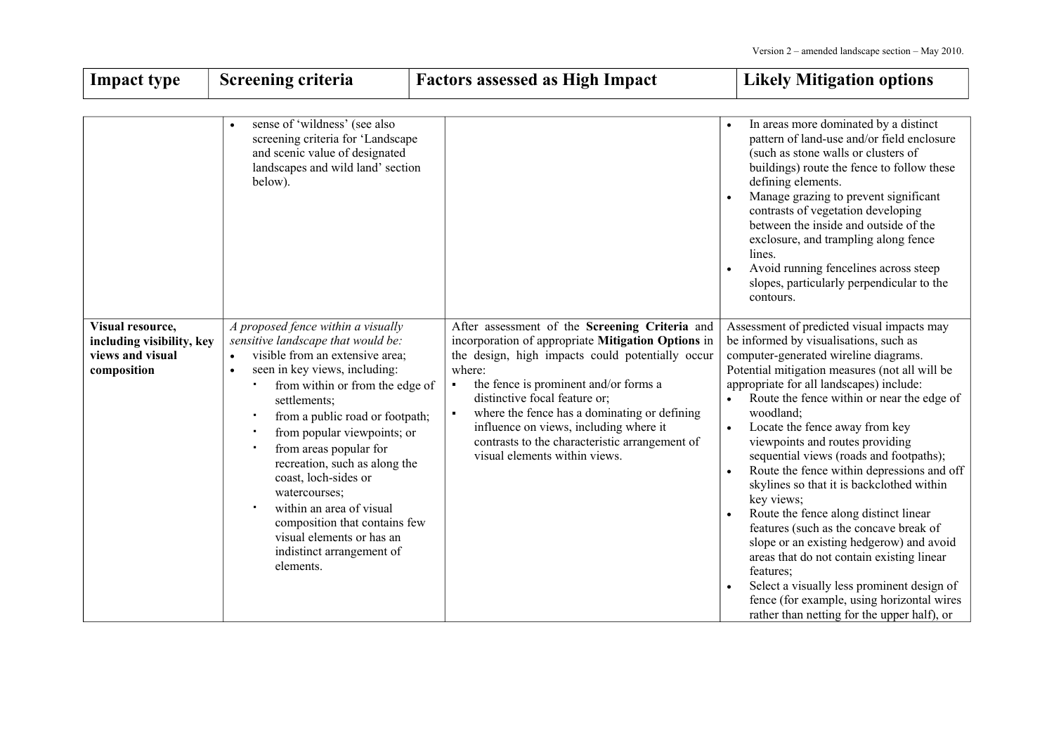┓

| <b>Impact type</b>                                                               | Screening criteria                                                                                                                                                                                                                                                                                                                                                                                                                                                                                                                  | <b>Factors assessed as High Impact</b>                                                                                                                                                                                                                                                                                                                                                                                                                        | <b>Likely Mitigation options</b>                                                                                                                                                                                                                                                                                                                                                                                                                                                                                                                                                                                                                                                                                                                                                                                                                                                           |
|----------------------------------------------------------------------------------|-------------------------------------------------------------------------------------------------------------------------------------------------------------------------------------------------------------------------------------------------------------------------------------------------------------------------------------------------------------------------------------------------------------------------------------------------------------------------------------------------------------------------------------|---------------------------------------------------------------------------------------------------------------------------------------------------------------------------------------------------------------------------------------------------------------------------------------------------------------------------------------------------------------------------------------------------------------------------------------------------------------|--------------------------------------------------------------------------------------------------------------------------------------------------------------------------------------------------------------------------------------------------------------------------------------------------------------------------------------------------------------------------------------------------------------------------------------------------------------------------------------------------------------------------------------------------------------------------------------------------------------------------------------------------------------------------------------------------------------------------------------------------------------------------------------------------------------------------------------------------------------------------------------------|
|                                                                                  | sense of 'wildness' (see also<br>screening criteria for 'Landscape<br>and scenic value of designated<br>landscapes and wild land' section<br>below).                                                                                                                                                                                                                                                                                                                                                                                |                                                                                                                                                                                                                                                                                                                                                                                                                                                               | In areas more dominated by a distinct<br>pattern of land-use and/or field enclosure<br>(such as stone walls or clusters of<br>buildings) route the fence to follow these<br>defining elements.<br>Manage grazing to prevent significant<br>$\bullet$<br>contrasts of vegetation developing<br>between the inside and outside of the<br>exclosure, and trampling along fence<br>lines.<br>Avoid running fencelines across steep<br>slopes, particularly perpendicular to the<br>contours.                                                                                                                                                                                                                                                                                                                                                                                                   |
| Visual resource,<br>including visibility, key<br>views and visual<br>composition | A proposed fence within a visually<br>sensitive landscape that would be:<br>visible from an extensive area;<br>$\bullet$<br>seen in key views, including:<br>$\bullet$<br>from within or from the edge of<br>settlements;<br>from a public road or footpath;<br>from popular viewpoints; or<br>from areas popular for<br>recreation, such as along the<br>coast, loch-sides or<br>watercourses;<br>within an area of visual<br>composition that contains few<br>visual elements or has an<br>indistinct arrangement of<br>elements. | After assessment of the Screening Criteria and<br>incorporation of appropriate Mitigation Options in<br>the design, high impacts could potentially occur<br>where:<br>the fence is prominent and/or forms a<br>$\blacksquare$<br>distinctive focal feature or;<br>where the fence has a dominating or defining<br>$\blacksquare$<br>influence on views, including where it<br>contrasts to the characteristic arrangement of<br>visual elements within views. | Assessment of predicted visual impacts may<br>be informed by visualisations, such as<br>computer-generated wireline diagrams.<br>Potential mitigation measures (not all will be<br>appropriate for all landscapes) include:<br>Route the fence within or near the edge of<br>woodland;<br>Locate the fence away from key<br>viewpoints and routes providing<br>sequential views (roads and footpaths);<br>Route the fence within depressions and off<br>$\bullet$<br>skylines so that it is backclothed within<br>key views;<br>Route the fence along distinct linear<br>$\bullet$<br>features (such as the concave break of<br>slope or an existing hedgerow) and avoid<br>areas that do not contain existing linear<br>features;<br>Select a visually less prominent design of<br>$\bullet$<br>fence (for example, using horizontal wires<br>rather than netting for the upper half), or |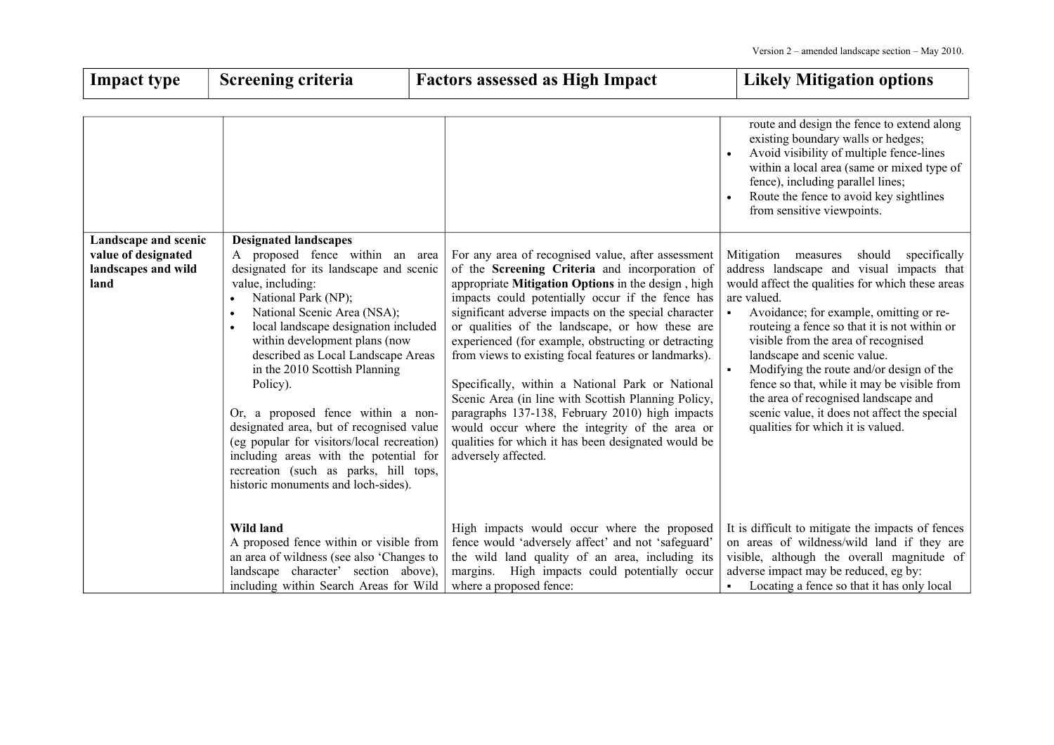| <b>Impact type</b>                                                         | <b>Screening criteria</b>                                                                                                                                                                                                                                                                                                                                                                                                                                                                                                                                                                                   | <b>Factors assessed as High Impact</b>                                                                                                                                                                                                                                                                                                                                                                                                                                                                                                                                                                                                                                                                                                 | <b>Likely Mitigation options</b>                                                                                                                                                                                                                                                                                                                                                                                                                                                                                                                                            |
|----------------------------------------------------------------------------|-------------------------------------------------------------------------------------------------------------------------------------------------------------------------------------------------------------------------------------------------------------------------------------------------------------------------------------------------------------------------------------------------------------------------------------------------------------------------------------------------------------------------------------------------------------------------------------------------------------|----------------------------------------------------------------------------------------------------------------------------------------------------------------------------------------------------------------------------------------------------------------------------------------------------------------------------------------------------------------------------------------------------------------------------------------------------------------------------------------------------------------------------------------------------------------------------------------------------------------------------------------------------------------------------------------------------------------------------------------|-----------------------------------------------------------------------------------------------------------------------------------------------------------------------------------------------------------------------------------------------------------------------------------------------------------------------------------------------------------------------------------------------------------------------------------------------------------------------------------------------------------------------------------------------------------------------------|
|                                                                            |                                                                                                                                                                                                                                                                                                                                                                                                                                                                                                                                                                                                             |                                                                                                                                                                                                                                                                                                                                                                                                                                                                                                                                                                                                                                                                                                                                        | route and design the fence to extend along<br>existing boundary walls or hedges;<br>Avoid visibility of multiple fence-lines<br>within a local area (same or mixed type of<br>fence), including parallel lines;<br>Route the fence to avoid key sightlines<br>from sensitive viewpoints.                                                                                                                                                                                                                                                                                    |
| Landscape and scenic<br>value of designated<br>landscapes and wild<br>land | <b>Designated landscapes</b><br>A proposed fence within an area<br>designated for its landscape and scenic<br>value, including:<br>National Park (NP);<br>National Scenic Area (NSA);<br>local landscape designation included<br>within development plans (now<br>described as Local Landscape Areas<br>in the 2010 Scottish Planning<br>Policy).<br>Or, a proposed fence within a non-<br>designated area, but of recognised value<br>(eg popular for visitors/local recreation)<br>including areas with the potential for<br>recreation (such as parks, hill tops,<br>historic monuments and loch-sides). | For any area of recognised value, after assessment<br>of the Screening Criteria and incorporation of<br>appropriate Mitigation Options in the design, high<br>impacts could potentially occur if the fence has<br>significant adverse impacts on the special character<br>or qualities of the landscape, or how these are<br>experienced (for example, obstructing or detracting<br>from views to existing focal features or landmarks).<br>Specifically, within a National Park or National<br>Scenic Area (in line with Scottish Planning Policy,<br>paragraphs 137-138, February 2010) high impacts<br>would occur where the integrity of the area or<br>qualities for which it has been designated would be<br>adversely affected. | specifically<br>Mitigation<br>should<br>measures<br>address landscape and visual impacts that<br>would affect the qualities for which these areas<br>are valued.<br>Avoidance; for example, omitting or re-<br>$\blacksquare$<br>routeing a fence so that it is not within or<br>visible from the area of recognised<br>landscape and scenic value.<br>Modifying the route and/or design of the<br>fence so that, while it may be visible from<br>the area of recognised landscape and<br>scenic value, it does not affect the special<br>qualities for which it is valued. |
|                                                                            | Wild land<br>A proposed fence within or visible from<br>an area of wildness (see also 'Changes to<br>landscape character' section above),<br>including within Search Areas for Wild                                                                                                                                                                                                                                                                                                                                                                                                                         | High impacts would occur where the proposed<br>fence would 'adversely affect' and not 'safeguard'<br>the wild land quality of an area, including its<br>margins. High impacts could potentially occur<br>where a proposed fence:                                                                                                                                                                                                                                                                                                                                                                                                                                                                                                       | It is difficult to mitigate the impacts of fences<br>on areas of wildness/wild land if they are<br>visible, although the overall magnitude of<br>adverse impact may be reduced, eg by:<br>Locating a fence so that it has only local                                                                                                                                                                                                                                                                                                                                        |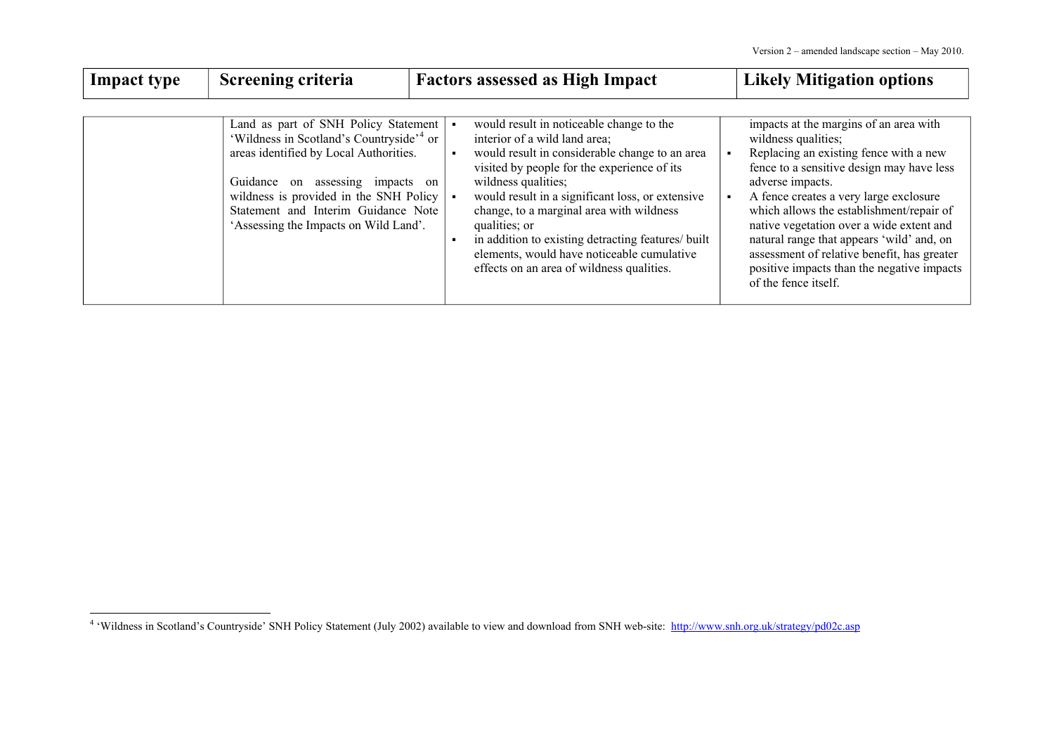| <b>Impact type</b> | Screening criteria                                                                                                                                                                                                                                                                                         | <b>Factors assessed as High Impact</b>                                                                                                                                                                                                                                                                                                                                                                                                                              | <b>Likely Mitigation options</b>                                                                                                                                                                                                                                                                                                                                                                                                                                             |
|--------------------|------------------------------------------------------------------------------------------------------------------------------------------------------------------------------------------------------------------------------------------------------------------------------------------------------------|---------------------------------------------------------------------------------------------------------------------------------------------------------------------------------------------------------------------------------------------------------------------------------------------------------------------------------------------------------------------------------------------------------------------------------------------------------------------|------------------------------------------------------------------------------------------------------------------------------------------------------------------------------------------------------------------------------------------------------------------------------------------------------------------------------------------------------------------------------------------------------------------------------------------------------------------------------|
|                    | Land as part of SNH Policy Statement<br>'Wildness in Scotland's Countryside' <sup>4</sup> or<br>areas identified by Local Authorities.<br>assessing impacts on<br>Guidance<br>on<br>wildness is provided in the SNH Policy<br>Statement and Interim Guidance Note<br>'Assessing the Impacts on Wild Land'. | would result in noticeable change to the<br>interior of a wild land area;<br>would result in considerable change to an area<br>visited by people for the experience of its<br>wildness qualities;<br>would result in a significant loss, or extensive<br>change, to a marginal area with wildness<br>qualities; or<br>in addition to existing detracting features/ built<br>elements, would have noticeable cumulative<br>effects on an area of wildness qualities. | impacts at the margins of an area with<br>wildness qualities;<br>Replacing an existing fence with a new<br>fence to a sensitive design may have less<br>adverse impacts.<br>A fence creates a very large exclosure<br>which allows the establishment/repair of<br>native vegetation over a wide extent and<br>natural range that appears 'wild' and, on<br>assessment of relative benefit, has greater<br>positive impacts than the negative impacts<br>of the fence itself. |

<span id="page-27-0"></span><sup>&</sup>lt;sup>4</sup> 'Wildness in Scotland's Countryside' SNH Policy Statement (July 2002) available to view and download from SNH web-site: <http://www.snh.org.uk/strategy/pd02c.asp>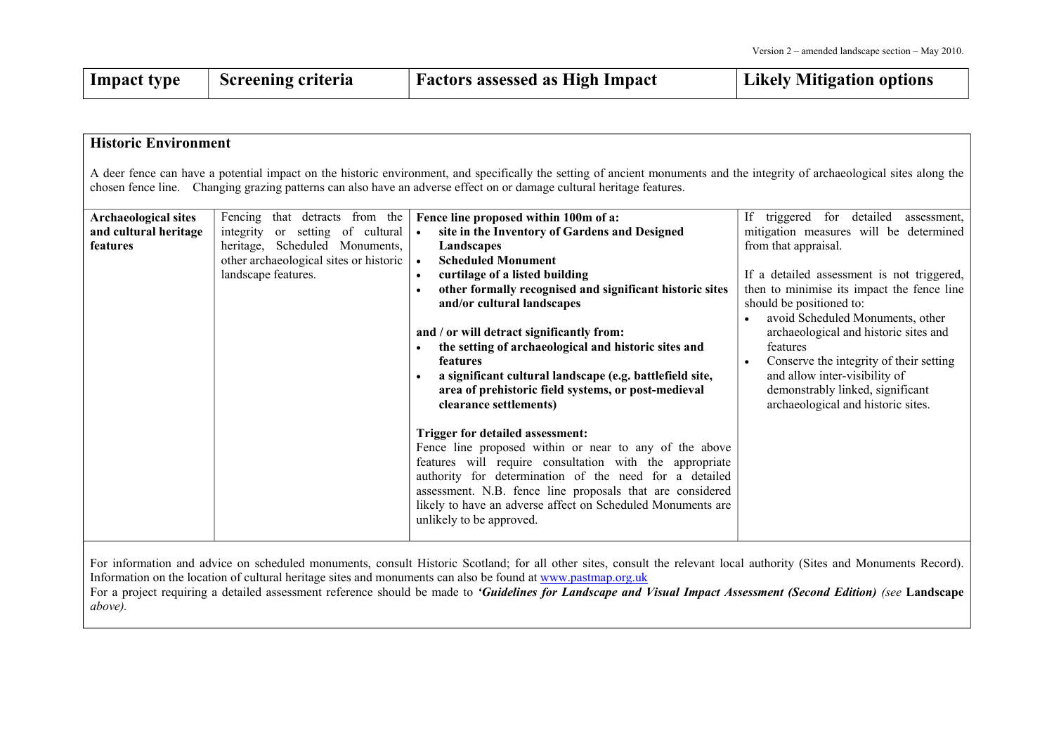| <b>Impact type</b>                                               | <b>Screening criteria</b>                                                                                                                                                | <b>Factors assessed as High Impact</b>                                                                                                                                                                                                                                                                                                                                                                                                                                                                                                                                                                                                                                                                                                                                                                                                                                                                                                        | <b>Likely Mitigation options</b>                                                                                                                                                                                                                                                                                                                                                                                                                                                                    |
|------------------------------------------------------------------|--------------------------------------------------------------------------------------------------------------------------------------------------------------------------|-----------------------------------------------------------------------------------------------------------------------------------------------------------------------------------------------------------------------------------------------------------------------------------------------------------------------------------------------------------------------------------------------------------------------------------------------------------------------------------------------------------------------------------------------------------------------------------------------------------------------------------------------------------------------------------------------------------------------------------------------------------------------------------------------------------------------------------------------------------------------------------------------------------------------------------------------|-----------------------------------------------------------------------------------------------------------------------------------------------------------------------------------------------------------------------------------------------------------------------------------------------------------------------------------------------------------------------------------------------------------------------------------------------------------------------------------------------------|
|                                                                  |                                                                                                                                                                          |                                                                                                                                                                                                                                                                                                                                                                                                                                                                                                                                                                                                                                                                                                                                                                                                                                                                                                                                               |                                                                                                                                                                                                                                                                                                                                                                                                                                                                                                     |
| <b>Historic Environment</b>                                      |                                                                                                                                                                          |                                                                                                                                                                                                                                                                                                                                                                                                                                                                                                                                                                                                                                                                                                                                                                                                                                                                                                                                               |                                                                                                                                                                                                                                                                                                                                                                                                                                                                                                     |
|                                                                  |                                                                                                                                                                          | A deer fence can have a potential impact on the historic environment, and specifically the setting of ancient monuments and the integrity of archaeological sites along the<br>chosen fence line. Changing grazing patterns can also have an adverse effect on or damage cultural heritage features.                                                                                                                                                                                                                                                                                                                                                                                                                                                                                                                                                                                                                                          |                                                                                                                                                                                                                                                                                                                                                                                                                                                                                                     |
| <b>Archaeological sites</b><br>and cultural heritage<br>features | Fencing that detracts from the<br>or setting of cultural<br>integrity<br>heritage, Scheduled Monuments,<br>other archaeological sites or historic<br>landscape features. | Fence line proposed within 100m of a:<br>site in the Inventory of Gardens and Designed<br>$\bullet$<br>Landscapes<br><b>Scheduled Monument</b><br>$\bullet$<br>curtilage of a listed building<br>$\bullet$<br>other formally recognised and significant historic sites<br>and/or cultural landscapes<br>and / or will detract significantly from:<br>the setting of archaeological and historic sites and<br>features<br>a significant cultural landscape (e.g. battlefield site,<br>area of prehistoric field systems, or post-medieval<br>clearance settlements)<br>Trigger for detailed assessment:<br>Fence line proposed within or near to any of the above<br>features will require consultation with the appropriate<br>authority for determination of the need for a detailed<br>assessment. N.B. fence line proposals that are considered<br>likely to have an adverse affect on Scheduled Monuments are<br>unlikely to be approved. | triggered for detailed<br>If -<br>assessment,<br>mitigation measures will be determined<br>from that appraisal.<br>If a detailed assessment is not triggered,<br>then to minimise its impact the fence line<br>should be positioned to:<br>avoid Scheduled Monuments, other<br>archaeological and historic sites and<br>features<br>Conserve the integrity of their setting<br>$\bullet$<br>and allow inter-visibility of<br>demonstrably linked, significant<br>archaeological and historic sites. |

For information and advice on scheduled monuments, consult Historic Scotland; for all other sites, consult the relevant local authority (Sites and Monuments Record). Information on the location of cultural heritage sites and monuments can also be found at www.pas[tmap.org.uk](http://www.pastmap.org.uk/) For a project requiring a detailed assessment reference should be made to 'Guidelines for Landscape and Visual Impact Assessment (Second Edition) (see Landscape *above).*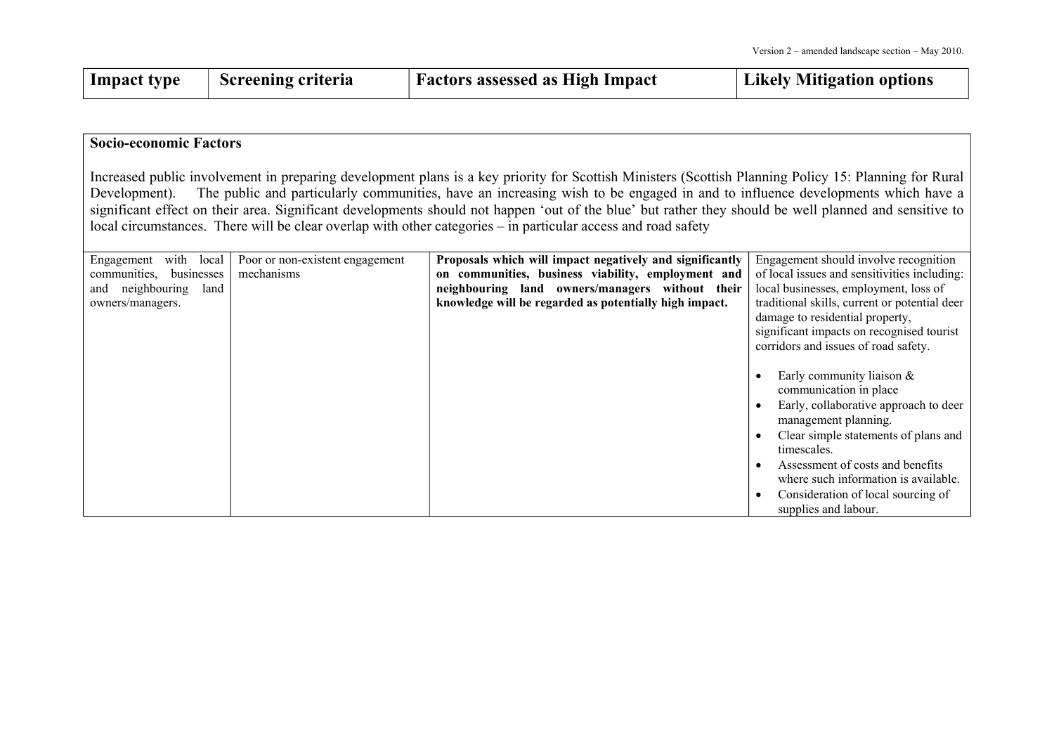| Impact type | Screening criteria | <b>Factors assessed as High Impact</b> | Likely Mitigation options |
|-------------|--------------------|----------------------------------------|---------------------------|
|-------------|--------------------|----------------------------------------|---------------------------|

#### **Socio-economic Factors**

Increased public involvement in preparing development plans is <sup>a</sup> key priority for Scottish Ministers (Scottish Planning Policy 15: Planning for Rural Development). The public and particularly communities, have an increasing wish to be engaged in and to influence developments which have a significant effect on their area. Significant developments should not happen 'out of the blue' but rather they should be well planned and sensitive to local circumstances. There will be clear overlap with other categories – in particular access and road safety

| with<br>local<br>Engagement<br>communities,<br>businesses<br>neighbouring<br>land<br>and<br>owners/managers. | Poor or non-existent engagement<br>mechanisms | Proposals which will impact negatively and significantly<br>on communities, business viability, employment and<br>neighbouring land owners/managers without their<br>knowledge will be regarded as potentially high impact. | Engagement should involve recognition<br>of local issues and sensitivities including:<br>local businesses, employment, loss of<br>traditional skills, current or potential deer<br>damage to residential property,<br>significant impacts on recognised tourist<br>corridors and issues of road safety.                  |
|--------------------------------------------------------------------------------------------------------------|-----------------------------------------------|-----------------------------------------------------------------------------------------------------------------------------------------------------------------------------------------------------------------------------|--------------------------------------------------------------------------------------------------------------------------------------------------------------------------------------------------------------------------------------------------------------------------------------------------------------------------|
|                                                                                                              |                                               |                                                                                                                                                                                                                             | Early community liaison $\&$<br>communication in place<br>Early, collaborative approach to deer<br>management planning.<br>Clear simple statements of plans and<br>timescales.<br>Assessment of costs and benefits<br>where such information is available.<br>Consideration of local sourcing of<br>supplies and labour. |